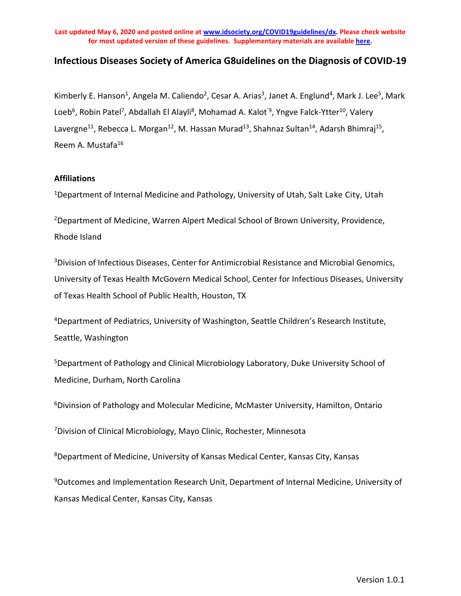## **Infectious Diseases Society of America G8uidelines on the Diagnosis of COVID-19**

Kimberly E. Hanson<sup>1</sup>, Angela M. Caliendo<sup>2</sup>, Cesar A. Arias<sup>3</sup>, Janet A. Englund<sup>4</sup>, Mark J. Lee<sup>5</sup>, Mark Loeb<sup>6</sup>, Robin Patel<sup>7</sup>, Abdallah El Alayli<sup>8</sup>, Mohamad A. Kalot<sup>'9</sup>, Yngve Falck-Ytter<sup>10</sup>, Valery Lavergne<sup>11</sup>, Rebecca L. Morgan<sup>12</sup>, M. Hassan Murad<sup>13</sup>, Shahnaz Sultan<sup>14</sup>, Adarsh Bhimraj<sup>15</sup>, Reem A. Mustafa<sup>16</sup>

#### **Affiliations**

<sup>1</sup>Department of Internal Medicine and Pathology, University of Utah, Salt Lake City, Utah

2Department of Medicine, Warren Alpert Medical School of Brown University, Providence, Rhode Island

<sup>3</sup>Division of Infectious Diseases, Center for Antimicrobial Resistance and Microbial Genomics, University of Texas Health McGovern Medical School, Center for Infectious Diseases, University of Texas Health School of Public Health, Houston, TX

4Department of Pediatrics, University of Washington, Seattle Children's Research Institute, Seattle, Washington

5Department of Pathology and Clinical Microbiology Laboratory, Duke University School of Medicine, Durham, North Carolina

6Divinsion of Pathology and Molecular Medicine, McMaster University, Hamilton, Ontario

7Division of Clinical Microbiology, Mayo Clinic, Rochester, Minnesota

8Department of Medicine, University of Kansas Medical Center, Kansas City, Kansas

9Outcomes and Implementation Research Unit, Department of Internal Medicine, University of Kansas Medical Center, Kansas City, Kansas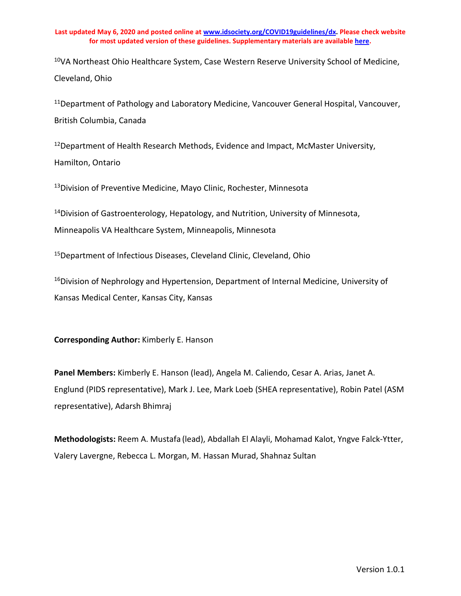<sup>10</sup>VA Northeast Ohio Healthcare System, Case Western Reserve University School of Medicine, Cleveland, Ohio

<sup>11</sup>Department of Pathology and Laboratory Medicine, Vancouver General Hospital, Vancouver, British Columbia, Canada

<sup>12</sup>Department of Health Research Methods, Evidence and Impact, McMaster University, Hamilton, Ontario

<sup>13</sup>Division of Preventive Medicine, Mayo Clinic, Rochester, Minnesota

<sup>14</sup>Division of Gastroenterology, Hepatology, and Nutrition, University of Minnesota, Minneapolis VA Healthcare System, Minneapolis, Minnesota

15Department of Infectious Diseases, Cleveland Clinic, Cleveland, Ohio

<sup>16</sup>Division of Nephrology and Hypertension, Department of Internal Medicine, University of Kansas Medical Center, Kansas City, Kansas

**Corresponding Author:** Kimberly E. Hanson

**Panel Members:** Kimberly E. Hanson (lead), Angela M. Caliendo, Cesar A. Arias, Janet A. Englund (PIDS representative), Mark J. Lee, Mark Loeb (SHEA representative), Robin Patel (ASM representative), Adarsh Bhimraj

**Methodologists:** Reem A. Mustafa (lead), Abdallah El Alayli, Mohamad Kalot, Yngve Falck-Ytter, Valery Lavergne, Rebecca L. Morgan, M. Hassan Murad, Shahnaz Sultan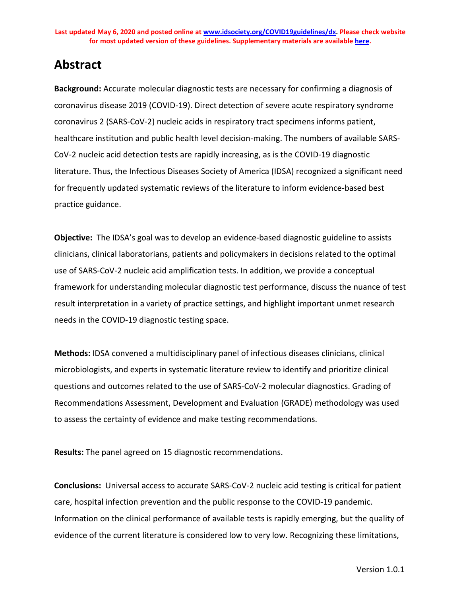# **Abstract**

**Background:** Accurate molecular diagnostic tests are necessary for confirming a diagnosis of coronavirus disease 2019 (COVID-19). Direct detection of severe acute respiratory syndrome coronavirus 2 (SARS-CoV-2) nucleic acids in respiratory tract specimens informs patient, healthcare institution and public health level decision-making. The numbers of available SARS-CoV-2 nucleic acid detection tests are rapidly increasing, as is the COVID-19 diagnostic literature. Thus, the Infectious Diseases Society of America (IDSA) recognized a significant need for frequently updated systematic reviews of the literature to inform evidence-based best practice guidance.

**Objective:** The IDSA's goal was to develop an evidence-based diagnostic guideline to assists clinicians, clinical laboratorians, patients and policymakers in decisions related to the optimal use of SARS-CoV-2 nucleic acid amplification tests. In addition, we provide a conceptual framework for understanding molecular diagnostic test performance, discuss the nuance of test result interpretation in a variety of practice settings, and highlight important unmet research needs in the COVID-19 diagnostic testing space.

**Methods:** IDSA convened a multidisciplinary panel of infectious diseases clinicians, clinical microbiologists, and experts in systematic literature review to identify and prioritize clinical questions and outcomes related to the use of SARS-CoV-2 molecular diagnostics. Grading of Recommendations Assessment, Development and Evaluation (GRADE) methodology was used to assess the certainty of evidence and make testing recommendations.

**Results:** The panel agreed on 15 diagnostic recommendations.

**Conclusions:** Universal access to accurate SARS-CoV-2 nucleic acid testing is critical for patient care, hospital infection prevention and the public response to the COVID-19 pandemic. Information on the clinical performance of available tests is rapidly emerging, but the quality of evidence of the current literature is considered low to very low. Recognizing these limitations,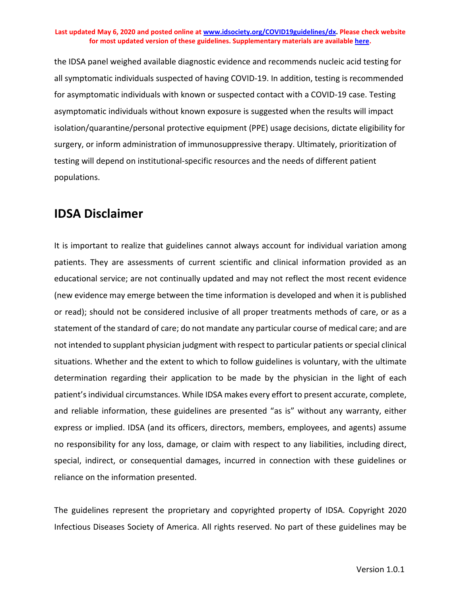the IDSA panel weighed available diagnostic evidence and recommends nucleic acid testing for all symptomatic individuals suspected of having COVID-19. In addition, testing is recommended for asymptomatic individuals with known or suspected contact with a COVID-19 case. Testing asymptomatic individuals without known exposure is suggested when the results will impact isolation/quarantine/personal protective equipment (PPE) usage decisions, dictate eligibility for surgery, or inform administration of immunosuppressive therapy. Ultimately, prioritization of testing will depend on institutional-specific resources and the needs of different patient populations.

## **IDSA Disclaimer**

It is important to realize that guidelines cannot always account for individual variation among patients. They are assessments of current scientific and clinical information provided as an educational service; are not continually updated and may not reflect the most recent evidence (new evidence may emerge between the time information is developed and when it is published or read); should not be considered inclusive of all proper treatments methods of care, or as a statement of the standard of care; do not mandate any particular course of medical care; and are not intended to supplant physician judgment with respect to particular patients or special clinical situations. Whether and the extent to which to follow guidelines is voluntary, with the ultimate determination regarding their application to be made by the physician in the light of each patient's individual circumstances. While IDSA makes every effort to present accurate, complete, and reliable information, these guidelines are presented "as is" without any warranty, either express or implied. IDSA (and its officers, directors, members, employees, and agents) assume no responsibility for any loss, damage, or claim with respect to any liabilities, including direct, special, indirect, or consequential damages, incurred in connection with these guidelines or reliance on the information presented.

The guidelines represent the proprietary and copyrighted property of IDSA. Copyright 2020 Infectious Diseases Society of America. All rights reserved. No part of these guidelines may be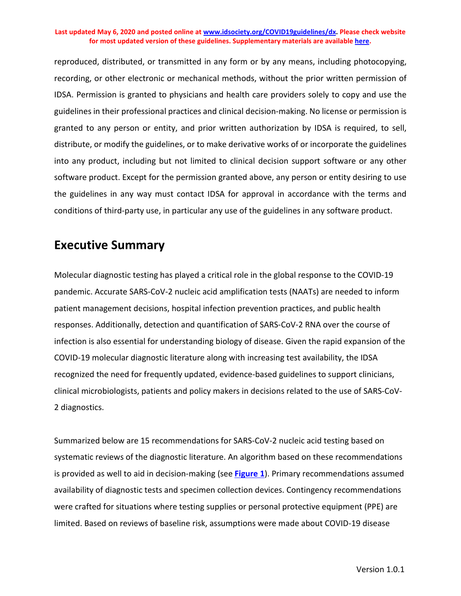reproduced, distributed, or transmitted in any form or by any means, including photocopying, recording, or other electronic or mechanical methods, without the prior written permission of IDSA. Permission is granted to physicians and health care providers solely to copy and use the guidelines in their professional practices and clinical decision-making. No license or permission is granted to any person or entity, and prior written authorization by IDSA is required, to sell, distribute, or modify the guidelines, or to make derivative works of or incorporate the guidelines into any product, including but not limited to clinical decision support software or any other software product. Except for the permission granted above, any person or entity desiring to use the guidelines in any way must contact IDSA for approval in accordance with the terms and conditions of third-party use, in particular any use of the guidelines in any software product.

## **Executive Summary**

Molecular diagnostic testing has played a critical role in the global response to the COVID-19 pandemic. Accurate SARS-CoV-2 nucleic acid amplification tests (NAATs) are needed to inform patient management decisions, hospital infection prevention practices, and public health responses. Additionally, detection and quantification of SARS-CoV-2 RNA over the course of infection is also essential for understanding biology of disease. Given the rapid expansion of the COVID-19 molecular diagnostic literature along with increasing test availability, the IDSA recognized the need for frequently updated, evidence-based guidelines to support clinicians, clinical microbiologists, patients and policy makers in decisions related to the use of SARS-CoV-2 diagnostics.

Summarized below are 15 recommendations for SARS-CoV-2 nucleic acid testing based on systematic reviews of the diagnostic literature. An algorithm based on these recommendations is provided as well to aid in decision-making (see **[Figure 1](#page-5-0)**). Primary recommendations assumed availability of diagnostic tests and specimen collection devices. Contingency recommendations were crafted for situations where testing supplies or personal protective equipment (PPE) are limited. Based on reviews of baseline risk, assumptions were made about COVID-19 disease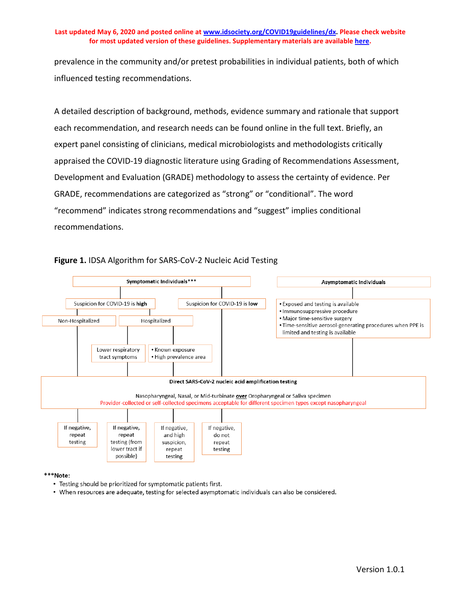prevalence in the community and/or pretest probabilities in individual patients, both of which influenced testing recommendations.

A detailed description of background, methods, evidence summary and rationale that support each recommendation, and research needs can be found online in the full text. Briefly, an expert panel consisting of clinicians, medical microbiologists and methodologists critically appraised the COVID-19 diagnostic literature using Grading of Recommendations Assessment, Development and Evaluation (GRADE) methodology to assess the certainty of evidence. Per GRADE, recommendations are categorized as "strong" or "conditional". The word "recommend" indicates strong recommendations and "suggest" implies conditional recommendations.



## <span id="page-5-0"></span>**Figure 1.** IDSA Algorithm for SARS-CoV-2 Nucleic Acid Testing

### \*\*\*Note:

- Testing should be prioritized for symptomatic patients first.
- When resources are adequate, testing for selected asymptomatic individuals can also be considered.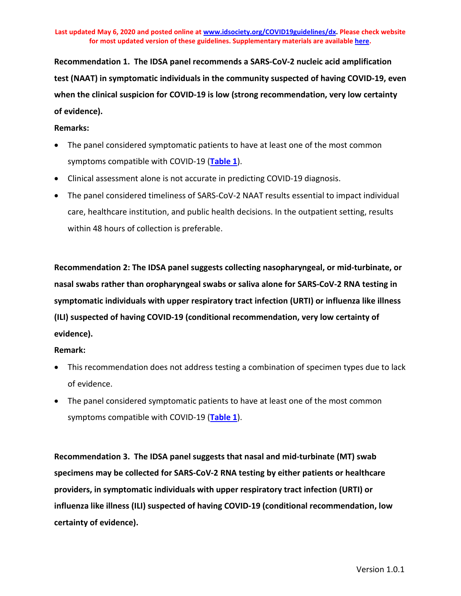**Recommendation 1. The IDSA panel recommends a SARS-CoV-2 nucleic acid amplification test (NAAT) in symptomatic individuals in the community suspected of having COVID-19, even when the clinical suspicion for COVID-19 is low (strong recommendation, very low certainty of evidence).**

### **Remarks:**

- The panel considered symptomatic patients to have at least one of the most common symptoms compatible with COVID-19 (**[Table 1](#page-14-0)**).
- Clinical assessment alone is not accurate in predicting COVID-19 diagnosis.
- The panel considered timeliness of SARS-CoV-2 NAAT results essential to impact individual care, healthcare institution, and public health decisions. In the outpatient setting, results within 48 hours of collection is preferable.

**Recommendation 2: The IDSA panel suggests collecting nasopharyngeal, or mid-turbinate, or nasal swabs rather than oropharyngeal swabs or saliva alone for SARS-CoV-2 RNA testing in symptomatic individuals with upper respiratory tract infection (URTI) or influenza like illness (ILI) suspected of having COVID-19 (conditional recommendation, very low certainty of evidence).**

## **Remark:**

- This recommendation does not address testing a combination of specimen types due to lack of evidence.
- The panel considered symptomatic patients to have at least one of the most common symptoms compatible with COVID-19 (**[Table 1](#page-14-0)**).

**Recommendation 3. The IDSA panel suggests that nasal and mid-turbinate (MT) swab specimens may be collected for SARS-CoV-2 RNA testing by either patients or healthcare providers, in symptomatic individuals with upper respiratory tract infection (URTI) or influenza like illness (ILI) suspected of having COVID-19 (conditional recommendation, low certainty of evidence).**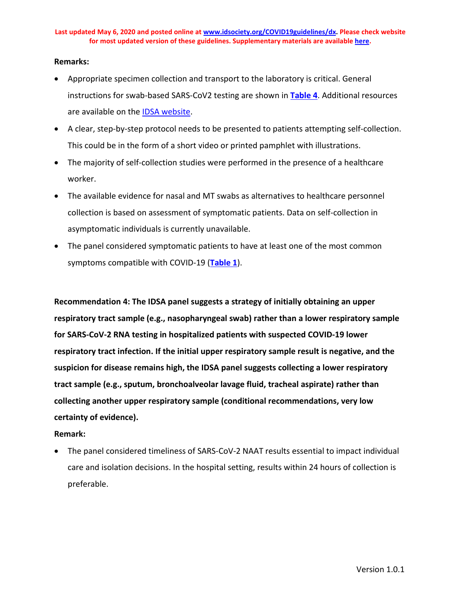### **Remarks:**

- Appropriate specimen collection and transport to the laboratory is critical. General instructions for swab-based SARS-CoV2 testing are shown in **[Table 4](#page-30-0)**. Additional resources are available on the **IDSA** website.
- A clear, step-by-step protocol needs to be presented to patients attempting self-collection. This could be in the form of a short video or printed pamphlet with illustrations.
- The majority of self-collection studies were performed in the presence of a healthcare worker.
- The available evidence for nasal and MT swabs as alternatives to healthcare personnel collection is based on assessment of symptomatic patients. Data on self-collection in asymptomatic individuals is currently unavailable.
- The panel considered symptomatic patients to have at least one of the most common symptoms compatible with COVID-19 (**[Table 1](#page-14-0)**).

**Recommendation 4: The IDSA panel suggests a strategy of initially obtaining an upper respiratory tract sample (e.g., nasopharyngeal swab) rather than a lower respiratory sample for SARS-CoV-2 RNA testing in hospitalized patients with suspected COVID-19 lower respiratory tract infection. If the initial upper respiratory sample result is negative, and the suspicion for disease remains high, the IDSA panel suggests collecting a lower respiratory tract sample (e.g., sputum, bronchoalveolar lavage fluid, tracheal aspirate) rather than collecting another upper respiratory sample (conditional recommendations, very low certainty of evidence).**

### **Remark:**

• The panel considered timeliness of SARS-CoV-2 NAAT results essential to impact individual care and isolation decisions. In the hospital setting, results within 24 hours of collection is preferable.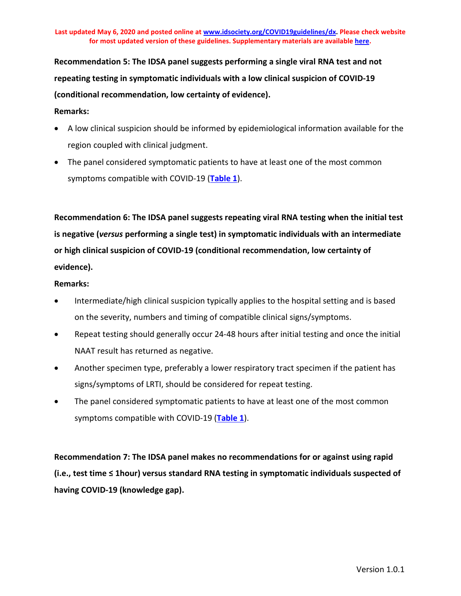**Recommendation 5: The IDSA panel suggests performing a single viral RNA test and not repeating testing in symptomatic individuals with a low clinical suspicion of COVID-19 (conditional recommendation, low certainty of evidence).**

## **Remarks:**

- A low clinical suspicion should be informed by epidemiological information available for the region coupled with clinical judgment.
- The panel considered symptomatic patients to have at least one of the most common symptoms compatible with COVID-19 (**[Table 1](#page-14-0)**).

**Recommendation 6: The IDSA panel suggests repeating viral RNA testing when the initial test is negative (***versus* **performing a single test) in symptomatic individuals with an intermediate or high clinical suspicion of COVID-19 (conditional recommendation, low certainty of evidence).**

## **Remarks:**

- Intermediate/high clinical suspicion typically applies to the hospital setting and is based on the severity, numbers and timing of compatible clinical signs/symptoms.
- Repeat testing should generally occur 24-48 hours after initial testing and once the initial NAAT result has returned as negative.
- Another specimen type, preferably a lower respiratory tract specimen if the patient has signs/symptoms of LRTI, should be considered for repeat testing.
- The panel considered symptomatic patients to have at least one of the most common symptoms compatible with COVID-19 (**[Table 1](#page-14-0)**).

**Recommendation 7: The IDSA panel makes no recommendations for or against using rapid (i.e., test time ≤ 1hour) versus standard RNA testing in symptomatic individuals suspected of having COVID-19 (knowledge gap).**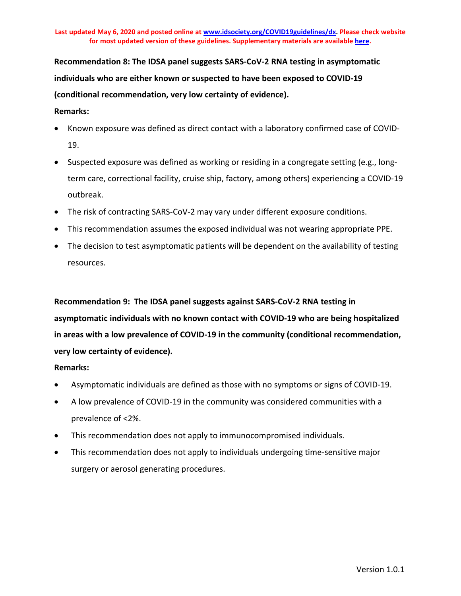**Recommendation 8: The IDSA panel suggests SARS-CoV-2 RNA testing in asymptomatic individuals who are either known or suspected to have been exposed to COVID-19 (conditional recommendation, very low certainty of evidence).**

### **Remarks:**

- Known exposure was defined as direct contact with a laboratory confirmed case of COVID-19.
- Suspected exposure was defined as working or residing in a congregate setting (e.g., longterm care, correctional facility, cruise ship, factory, among others) experiencing a COVID-19 outbreak.
- The risk of contracting SARS-CoV-2 may vary under different exposure conditions.
- This recommendation assumes the exposed individual was not wearing appropriate PPE.
- The decision to test asymptomatic patients will be dependent on the availability of testing resources.

**Recommendation 9: The IDSA panel suggests against SARS-CoV-2 RNA testing in asymptomatic individuals with no known contact with COVID-19 who are being hospitalized in areas with a low prevalence of COVID-19 in the community (conditional recommendation, very low certainty of evidence).**

### **Remarks:**

- Asymptomatic individuals are defined as those with no symptoms or signs of COVID-19.
- A low prevalence of COVID-19 in the community was considered communities with a prevalence of <2%.
- This recommendation does not apply to immunocompromised individuals.
- This recommendation does not apply to individuals undergoing time-sensitive major surgery or aerosol generating procedures.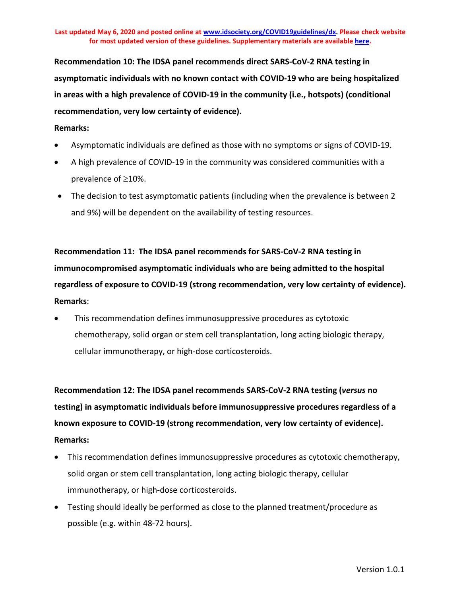**Recommendation 10: The IDSA panel recommends direct SARS-CoV-2 RNA testing in asymptomatic individuals with no known contact with COVID-19 who are being hospitalized in areas with a high prevalence of COVID-19 in the community (i.e., hotspots) (conditional recommendation, very low certainty of evidence).**

### **Remarks:**

- Asymptomatic individuals are defined as those with no symptoms or signs of COVID-19.
- A high prevalence of COVID-19 in the community was considered communities with a prevalence of ≥10%.
- The decision to test asymptomatic patients (including when the prevalence is between 2 and 9%) will be dependent on the availability of testing resources.

**Recommendation 11: The IDSA panel recommends for SARS-CoV-2 RNA testing in immunocompromised asymptomatic individuals who are being admitted to the hospital regardless of exposure to COVID-19 (strong recommendation, very low certainty of evidence). Remarks**:

• This recommendation defines immunosuppressive procedures as cytotoxic chemotherapy, solid organ or stem cell transplantation, long acting biologic therapy, cellular immunotherapy, or high-dose corticosteroids.

**Recommendation 12: The IDSA panel recommends SARS-CoV-2 RNA testing (***versus* **no testing) in asymptomatic individuals before immunosuppressive procedures regardless of a known exposure to COVID-19 (strong recommendation, very low certainty of evidence). Remarks:**

- This recommendation defines immunosuppressive procedures as cytotoxic chemotherapy, solid organ or stem cell transplantation, long acting biologic therapy, cellular immunotherapy, or high-dose corticosteroids.
- Testing should ideally be performed as close to the planned treatment/procedure as possible (e.g. within 48-72 hours).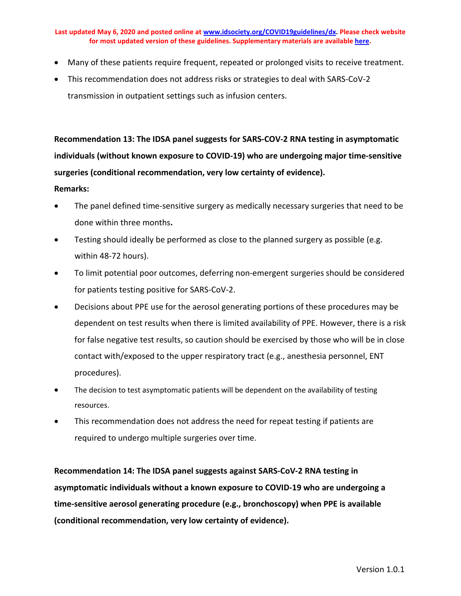- Many of these patients require frequent, repeated or prolonged visits to receive treatment.
- This recommendation does not address risks or strategies to deal with SARS-CoV-2 transmission in outpatient settings such as infusion centers.

**Recommendation 13: The IDSA panel suggests for SARS-COV-2 RNA testing in asymptomatic individuals (without known exposure to COVID-19) who are undergoing major time-sensitive surgeries (conditional recommendation, very low certainty of evidence).**

### **Remarks:**

- The panel defined time-sensitive surgery as medically necessary surgeries that need to be done within three months**.**
- Testing should ideally be performed as close to the planned surgery as possible (e.g. within 48-72 hours).
- To limit potential poor outcomes, deferring non-emergent surgeries should be considered for patients testing positive for SARS-CoV-2.
- Decisions about PPE use for the aerosol generating portions of these procedures may be dependent on test results when there is limited availability of PPE. However, there is a risk for false negative test results, so caution should be exercised by those who will be in close contact with/exposed to the upper respiratory tract (e.g., anesthesia personnel, ENT procedures).
- The decision to test asymptomatic patients will be dependent on the availability of testing resources.
- This recommendation does not address the need for repeat testing if patients are required to undergo multiple surgeries over time.

**Recommendation 14: The IDSA panel suggests against SARS-CoV-2 RNA testing in asymptomatic individuals without a known exposure to COVID-19 who are undergoing a time-sensitive aerosol generating procedure (e.g., bronchoscopy) when PPE is available (conditional recommendation, very low certainty of evidence).**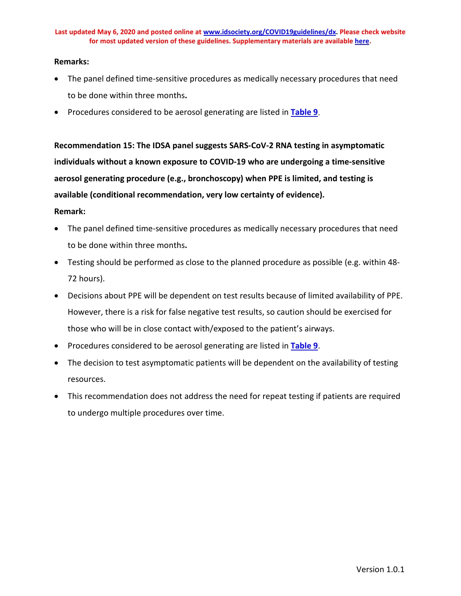### **Remarks:**

- The panel defined time-sensitive procedures as medically necessary procedures that need to be done within three months**.**
- Procedures considered to be aerosol generating are listed in **[Table 9](#page-57-0)**.

**Recommendation 15: The IDSA panel suggests SARS-CoV-2 RNA testing in asymptomatic individuals without a known exposure to COVID-19 who are undergoing a time-sensitive aerosol generating procedure (e.g., bronchoscopy) when PPE is limited, and testing is available (conditional recommendation, very low certainty of evidence).**

### **Remark:**

- The panel defined time-sensitive procedures as medically necessary procedures that need to be done within three months**.**
- Testing should be performed as close to the planned procedure as possible (e.g. within 48- 72 hours).
- Decisions about PPE will be dependent on test results because of limited availability of PPE. However, there is a risk for false negative test results, so caution should be exercised for those who will be in close contact with/exposed to the patient's airways.
- Procedures considered to be aerosol generating are listed in **[Table 9](#page-57-0)**.
- The decision to test asymptomatic patients will be dependent on the availability of testing resources.
- This recommendation does not address the need for repeat testing if patients are required to undergo multiple procedures over time.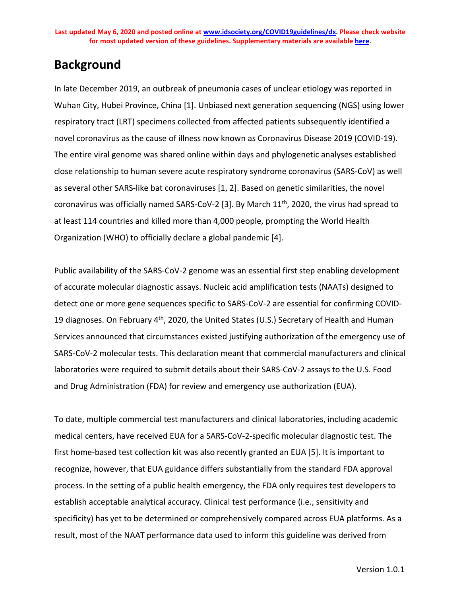## **Background**

In late December 2019, an outbreak of pneumonia cases of unclear etiology was reported in Wuhan City, Hubei Province, China [1]. Unbiased next generation sequencing (NGS) using lower respiratory tract (LRT) specimens collected from affected patients subsequently identified a novel coronavirus as the cause of illness now known as Coronavirus Disease 2019 (COVID-19). The entire viral genome was shared online within days and phylogenetic analyses established close relationship to human severe acute respiratory syndrome coronavirus (SARS-CoV) as well as several other SARS-like bat coronaviruses [1, 2]. Based on genetic similarities, the novel coronavirus was officially named SARS-CoV-2 [3]. By March 11<sup>th</sup>, 2020, the virus had spread to at least 114 countries and killed more than 4,000 people, prompting the World Health Organization (WHO) to officially declare a global pandemic [4].

Public availability of the SARS-CoV-2 genome was an essential first step enabling development of accurate molecular diagnostic assays. Nucleic acid amplification tests (NAATs) designed to detect one or more gene sequences specific to SARS-CoV-2 are essential for confirming COVID-19 diagnoses. On February 4<sup>th</sup>, 2020, the United States (U.S.) Secretary of Health and Human Services announced that circumstances existed justifying authorization of the emergency use of SARS-CoV-2 molecular tests. This declaration meant that commercial manufacturers and clinical laboratories were required to submit details about their SARS-CoV-2 assays to the U.S. Food and Drug Administration (FDA) for review and emergency use authorization (EUA).

To date, multiple commercial test manufacturers and clinical laboratories, including academic medical centers, have received EUA for a SARS-CoV-2-specific molecular diagnostic test. The first home-based test collection kit was also recently granted an EUA [5]. It is important to recognize, however, that EUA guidance differs substantially from the standard FDA approval process. In the setting of a public health emergency, the FDA only requires test developers to establish acceptable analytical accuracy. Clinical test performance (i.e., sensitivity and specificity) has yet to be determined or comprehensively compared across EUA platforms. As a result, most of the NAAT performance data used to inform this guideline was derived from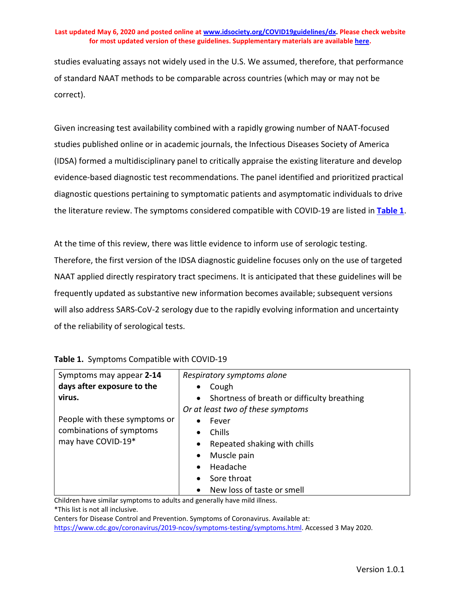studies evaluating assays not widely used in the U.S. We assumed, therefore, that performance of standard NAAT methods to be comparable across countries (which may or may not be correct).

Given increasing test availability combined with a rapidly growing number of NAAT-focused studies published online or in academic journals, the Infectious Diseases Society of America (IDSA) formed a multidisciplinary panel to critically appraise the existing literature and develop evidence-based diagnostic test recommendations. The panel identified and prioritized practical diagnostic questions pertaining to symptomatic patients and asymptomatic individuals to drive the literature review. The symptoms considered compatible with COVID-19 are listed in **[Table 1](#page-14-0)**.

At the time of this review, there was little evidence to inform use of serologic testing. Therefore, the first version of the IDSA diagnostic guideline focuses only on the use of targeted NAAT applied directly respiratory tract specimens. It is anticipated that these guidelines will be frequently updated as substantive new information becomes available; subsequent versions will also address SARS-CoV-2 serology due to the rapidly evolving information and uncertainty of the reliability of serological tests.

| Symptoms may appear 2-14      | Respiratory symptoms alone                               |
|-------------------------------|----------------------------------------------------------|
| days after exposure to the    | Cough                                                    |
| virus.                        | Shortness of breath or difficulty breathing<br>$\bullet$ |
|                               | Or at least two of these symptoms                        |
| People with these symptoms or | Fever<br>٠                                               |
| combinations of symptoms      | Chills<br>$\bullet$                                      |
| may have COVID-19*            | Repeated shaking with chills<br>$\bullet$                |
|                               | Muscle pain<br>$\bullet$                                 |
|                               | Headache<br>$\bullet$                                    |
|                               | Sore throat<br>$\bullet$                                 |
|                               | New loss of taste or smell<br>$\bullet$                  |

<span id="page-14-0"></span>

|  | Table 1. Symptoms Compatible with COVID-19 |
|--|--------------------------------------------|
|--|--------------------------------------------|

Children have similar symptoms to adults and generally have mild illness. \*This list is not all inclusive.

Centers for Disease Control and Prevention. Symptoms of Coronavirus. Available at: [https://www.cdc.gov/coronavirus/2019-ncov/symptoms-testing/symptoms.html.](https://www.cdc.gov/coronavirus/2019-ncov/symptoms-testing/symptoms.html) Accessed 3 May 2020.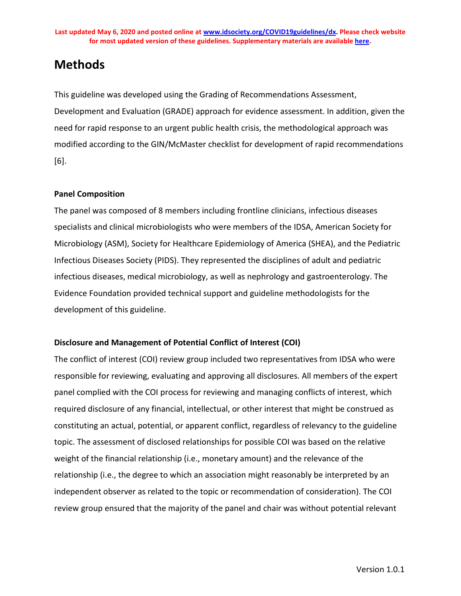## **Methods**

This guideline was developed using the Grading of Recommendations Assessment, Development and Evaluation (GRADE) approach for evidence assessment. In addition, given the need for rapid response to an urgent public health crisis, the methodological approach was modified according to the GIN/McMaster checklist for development of rapid recommendations [6].

## **Panel Composition**

The panel was composed of 8 members including frontline clinicians, infectious diseases specialists and clinical microbiologists who were members of the IDSA, American Society for Microbiology (ASM), Society for Healthcare Epidemiology of America (SHEA), and the Pediatric Infectious Diseases Society (PIDS). They represented the disciplines of adult and pediatric infectious diseases, medical microbiology, as well as nephrology and gastroenterology. The Evidence Foundation provided technical support and guideline methodologists for the development of this guideline.

## **Disclosure and Management of Potential Conflict of Interest (COI)**

The conflict of interest (COI) review group included two representatives from IDSA who were responsible for reviewing, evaluating and approving all disclosures. All members of the expert panel complied with the COI process for reviewing and managing conflicts of interest, which required disclosure of any financial, intellectual, or other interest that might be construed as constituting an actual, potential, or apparent conflict, regardless of relevancy to the guideline topic. The assessment of disclosed relationships for possible COI was based on the relative weight of the financial relationship (i.e., monetary amount) and the relevance of the relationship (i.e., the degree to which an association might reasonably be interpreted by an independent observer as related to the topic or recommendation of consideration). The COI review group ensured that the majority of the panel and chair was without potential relevant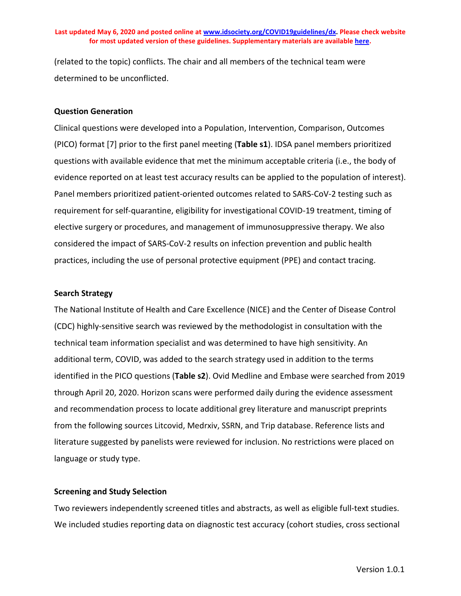(related to the topic) conflicts. The chair and all members of the technical team were determined to be unconflicted.

#### **Question Generation**

Clinical questions were developed into a Population, Intervention, Comparison, Outcomes (PICO) format [7] prior to the first panel meeting (**Table s1**). IDSA panel members prioritized questions with available evidence that met the minimum acceptable criteria (i.e., the body of evidence reported on at least test accuracy results can be applied to the population of interest). Panel members prioritized patient-oriented outcomes related to SARS-CoV-2 testing such as requirement for self-quarantine, eligibility for investigational COVID-19 treatment, timing of elective surgery or procedures, and management of immunosuppressive therapy. We also considered the impact of SARS-CoV-2 results on infection prevention and public health practices, including the use of personal protective equipment (PPE) and contact tracing.

### **Search Strategy**

The National Institute of Health and Care Excellence (NICE) and the Center of Disease Control (CDC) highly-sensitive search was reviewed by the methodologist in consultation with the technical team information specialist and was determined to have high sensitivity. An additional term, COVID, was added to the search strategy used in addition to the terms identified in the PICO questions (**Table s2**). Ovid Medline and Embase were searched from 2019 through April 20, 2020. Horizon scans were performed daily during the evidence assessment and recommendation process to locate additional grey literature and manuscript preprints from the following sources Litcovid, Medrxiv, SSRN, and Trip database. Reference lists and literature suggested by panelists were reviewed for inclusion. No restrictions were placed on language or study type.

#### **Screening and Study Selection**

Two reviewers independently screened titles and abstracts, as well as eligible full-text studies. We included studies reporting data on diagnostic test accuracy (cohort studies, cross sectional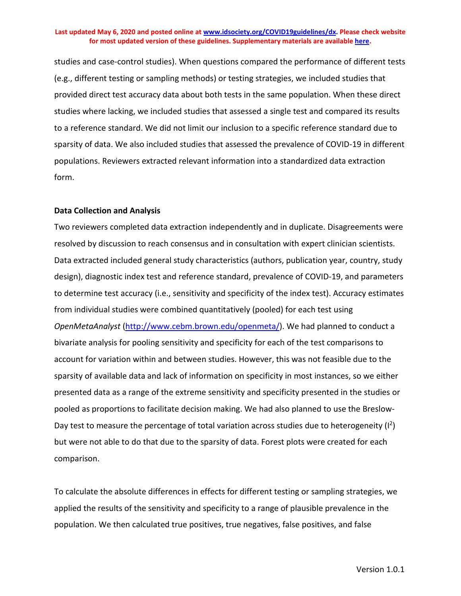studies and case-control studies). When questions compared the performance of different tests (e.g., different testing or sampling methods) or testing strategies, we included studies that provided direct test accuracy data about both tests in the same population. When these direct studies where lacking, we included studies that assessed a single test and compared its results to a reference standard. We did not limit our inclusion to a specific reference standard due to sparsity of data. We also included studies that assessed the prevalence of COVID-19 in different populations. Reviewers extracted relevant information into a standardized data extraction form.

#### **Data Collection and Analysis**

Two reviewers completed data extraction independently and in duplicate. Disagreements were resolved by discussion to reach consensus and in consultation with expert clinician scientists. Data extracted included general study characteristics (authors, publication year, country, study design), diagnostic index test and reference standard, prevalence of COVID-19, and parameters to determine test accuracy (i.e., sensitivity and specificity of the index test). Accuracy estimates from individual studies were combined quantitatively (pooled) for each test using *OpenMetaAnalyst* [\(http://www.cebm.brown.edu/openmeta/\)](http://www.cebm.brown.edu/openmeta/). We had planned to conduct a bivariate analysis for pooling sensitivity and specificity for each of the test comparisons to account for variation within and between studies. However, this was not feasible due to the sparsity of available data and lack of information on specificity in most instances, so we either presented data as a range of the extreme sensitivity and specificity presented in the studies or pooled as proportions to facilitate decision making. We had also planned to use the Breslow-Day test to measure the percentage of total variation across studies due to heterogeneity  $(I^2)$ but were not able to do that due to the sparsity of data. Forest plots were created for each comparison.

To calculate the absolute differences in effects for different testing or sampling strategies, we applied the results of the sensitivity and specificity to a range of plausible prevalence in the population. We then calculated true positives, true negatives, false positives, and false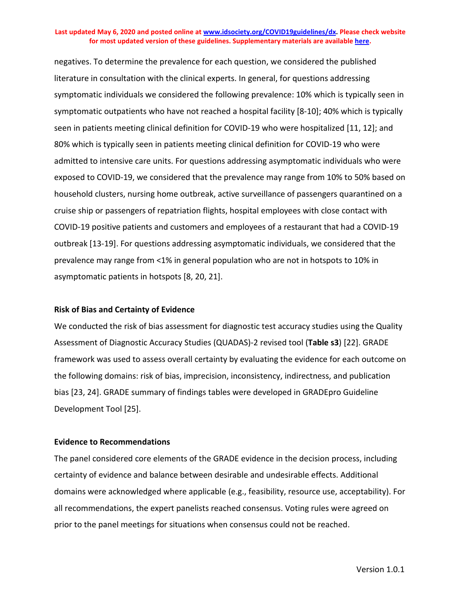negatives. To determine the prevalence for each question, we considered the published literature in consultation with the clinical experts. In general, for questions addressing symptomatic individuals we considered the following prevalence: 10% which is typically seen in symptomatic outpatients who have not reached a hospital facility [8-10]; 40% which is typically seen in patients meeting clinical definition for COVID-19 who were hospitalized [11, 12]; and 80% which is typically seen in patients meeting clinical definition for COVID-19 who were admitted to intensive care units. For questions addressing asymptomatic individuals who were exposed to COVID-19, we considered that the prevalence may range from 10% to 50% based on household clusters, nursing home outbreak, active surveillance of passengers quarantined on a cruise ship or passengers of repatriation flights, hospital employees with close contact with COVID-19 positive patients and customers and employees of a restaurant that had a COVID-19 outbreak [13-19]. For questions addressing asymptomatic individuals, we considered that the prevalence may range from <1% in general population who are not in hotspots to 10% in asymptomatic patients in hotspots [8, 20, 21].

### **Risk of Bias and Certainty of Evidence**

We conducted the risk of bias assessment for diagnostic test accuracy studies using the Quality Assessment of Diagnostic Accuracy Studies (QUADAS)-2 revised tool (**Table s3**) [22]. GRADE framework was used to assess overall certainty by evaluating the evidence for each outcome on the following domains: risk of bias, imprecision, inconsistency, indirectness, and publication bias [23, 24]. GRADE summary of findings tables were developed in GRADEpro Guideline Development Tool [25].

### **Evidence to Recommendations**

The panel considered core elements of the GRADE evidence in the decision process, including certainty of evidence and balance between desirable and undesirable effects. Additional domains were acknowledged where applicable (e.g., feasibility, resource use, acceptability). For all recommendations, the expert panelists reached consensus. Voting rules were agreed on prior to the panel meetings for situations when consensus could not be reached.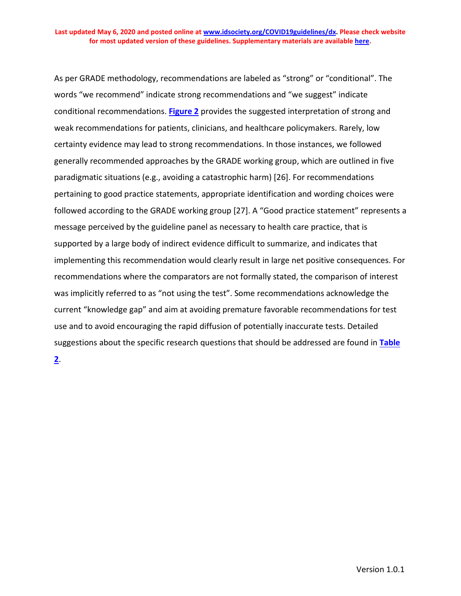As per GRADE methodology, recommendations are labeled as "strong" or "conditional". The words "we recommend" indicate strong recommendations and "we suggest" indicate conditional recommendations. **[Figure](#page-19-0) 2** provides the suggested interpretation of strong and weak recommendations for patients, clinicians, and healthcare policymakers. Rarely, low certainty evidence may lead to strong recommendations. In those instances, we followed generally recommended approaches by the GRADE working group, which are outlined in five paradigmatic situations (e.g., avoiding a catastrophic harm) [26]. For recommendations pertaining to good practice statements, appropriate identification and wording choices were followed according to the GRADE working group [27]. A "Good practice statement" represents a message perceived by the guideline panel as necessary to health care practice, that is supported by a large body of indirect evidence difficult to summarize, and indicates that implementing this recommendation would clearly result in large net positive consequences. For recommendations where the comparators are not formally stated, the comparison of interest was implicitly referred to as "not using the test". Some recommendations acknowledge the current "knowledge gap" and aim at avoiding premature favorable recommendations for test use and to avoid encouraging the rapid diffusion of potentially inaccurate tests. Detailed suggestions about the specific research questions that should be addressed are found in **[Table](#page-21-0)** 

<span id="page-19-0"></span>**[2](#page-21-0)**.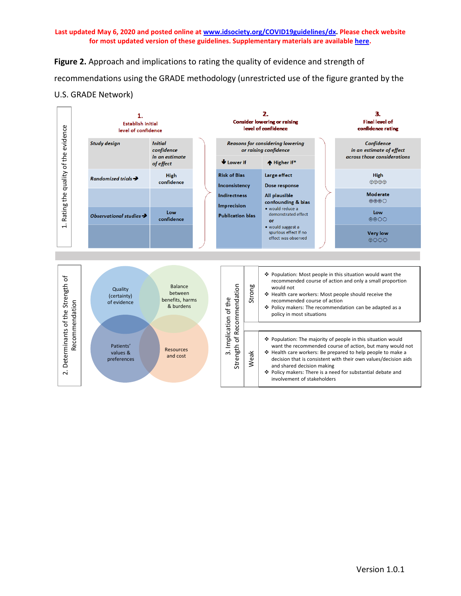**Figure 2.** Approach and implications to rating the quality of evidence and strength of recommendations using the GRADE methodology (unrestricted use of the figure granted by the U.S. GRADE Network)

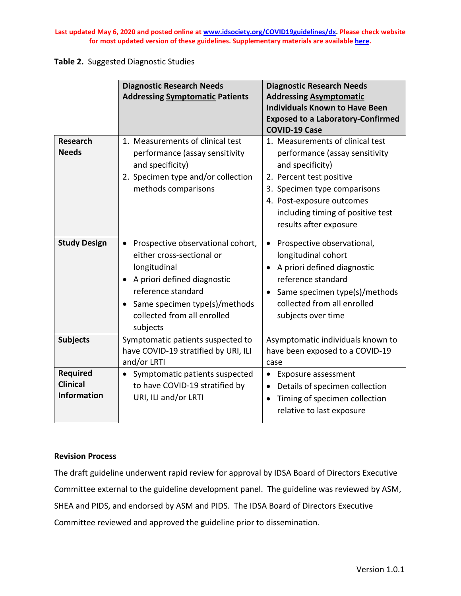### <span id="page-21-0"></span>**Table 2.** Suggested Diagnostic Studies

|                                                          | <b>Diagnostic Research Needs</b><br><b>Addressing Symptomatic Patients</b>                                                                                                                                      | <b>Diagnostic Research Needs</b><br><b>Addressing Asymptomatic</b><br><b>Individuals Known to Have Been</b><br><b>Exposed to a Laboratory-Confirmed</b><br><b>COVID-19 Case</b>                                                                |
|----------------------------------------------------------|-----------------------------------------------------------------------------------------------------------------------------------------------------------------------------------------------------------------|------------------------------------------------------------------------------------------------------------------------------------------------------------------------------------------------------------------------------------------------|
| <b>Research</b><br><b>Needs</b>                          | 1. Measurements of clinical test<br>performance (assay sensitivity<br>and specificity)<br>2. Specimen type and/or collection<br>methods comparisons                                                             | 1. Measurements of clinical test<br>performance (assay sensitivity<br>and specificity)<br>2. Percent test positive<br>3. Specimen type comparisons<br>4. Post-exposure outcomes<br>including timing of positive test<br>results after exposure |
| <b>Study Design</b>                                      | Prospective observational cohort,<br>either cross-sectional or<br>longitudinal<br>A priori defined diagnostic<br>reference standard<br>Same specimen type(s)/methods<br>collected from all enrolled<br>subjects | Prospective observational,<br>longitudinal cohort<br>A priori defined diagnostic<br>reference standard<br>Same specimen type(s)/methods<br>$\bullet$<br>collected from all enrolled<br>subjects over time                                      |
| <b>Subjects</b>                                          | Symptomatic patients suspected to<br>have COVID-19 stratified by URI, ILI<br>and/or LRTI                                                                                                                        | Asymptomatic individuals known to<br>have been exposed to a COVID-19<br>case                                                                                                                                                                   |
| <b>Required</b><br><b>Clinical</b><br><b>Information</b> | Symptomatic patients suspected<br>to have COVID-19 stratified by<br>URI, ILI and/or LRTI                                                                                                                        | <b>Exposure assessment</b><br>Details of specimen collection<br>Timing of specimen collection<br>$\bullet$<br>relative to last exposure                                                                                                        |

## **Revision Process**

The draft guideline underwent rapid review for approval by IDSA Board of Directors Executive Committee external to the guideline development panel. The guideline was reviewed by ASM, SHEA and PIDS, and endorsed by ASM and PIDS. The IDSA Board of Directors Executive Committee reviewed and approved the guideline prior to dissemination.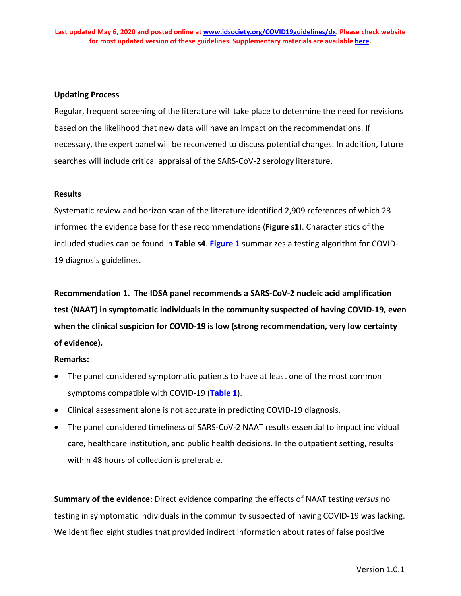### **Updating Process**

Regular, frequent screening of the literature will take place to determine the need for revisions based on the likelihood that new data will have an impact on the recommendations. If necessary, the expert panel will be reconvened to discuss potential changes. In addition, future searches will include critical appraisal of the SARS-CoV-2 serology literature.

### **Results**

Systematic review and horizon scan of the literature identified 2,909 references of which 23 informed the evidence base for these recommendations (**Figure s1**). Characteristics of the included studies can be found in **Table s4**. **[Figure 1](#page-5-0)** summarizes a testing algorithm for COVID-19 diagnosis guidelines.

**Recommendation 1. The IDSA panel recommends a SARS-CoV-2 nucleic acid amplification test (NAAT) in symptomatic individuals in the community suspected of having COVID-19, even when the clinical suspicion for COVID-19 is low (strong recommendation, very low certainty of evidence).**

### **Remarks:**

- The panel considered symptomatic patients to have at least one of the most common symptoms compatible with COVID-19 (**[Table 1](#page-14-0)**).
- Clinical assessment alone is not accurate in predicting COVID-19 diagnosis.
- The panel considered timeliness of SARS-CoV-2 NAAT results essential to impact individual care, healthcare institution, and public health decisions. In the outpatient setting, results within 48 hours of collection is preferable.

**Summary of the evidence:** Direct evidence comparing the effects of NAAT testing *versus* no testing in symptomatic individuals in the community suspected of having COVID-19 was lacking. We identified eight studies that provided indirect information about rates of false positive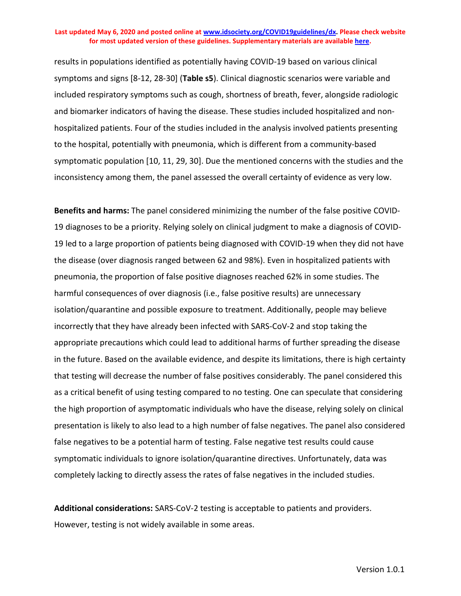results in populations identified as potentially having COVID-19 based on various clinical symptoms and signs [8-12, 28-30] (**Table s5**). Clinical diagnostic scenarios were variable and included respiratory symptoms such as cough, shortness of breath, fever, alongside radiologic and biomarker indicators of having the disease. These studies included hospitalized and nonhospitalized patients. Four of the studies included in the analysis involved patients presenting to the hospital, potentially with pneumonia, which is different from a community-based symptomatic population [10, 11, 29, 30]. Due the mentioned concerns with the studies and the inconsistency among them, the panel assessed the overall certainty of evidence as very low.

**Benefits and harms:** The panel considered minimizing the number of the false positive COVID-19 diagnoses to be a priority. Relying solely on clinical judgment to make a diagnosis of COVID-19 led to a large proportion of patients being diagnosed with COVID-19 when they did not have the disease (over diagnosis ranged between 62 and 98%). Even in hospitalized patients with pneumonia, the proportion of false positive diagnoses reached 62% in some studies. The harmful consequences of over diagnosis (i.e., false positive results) are unnecessary isolation/quarantine and possible exposure to treatment. Additionally, people may believe incorrectly that they have already been infected with SARS-CoV-2 and stop taking the appropriate precautions which could lead to additional harms of further spreading the disease in the future. Based on the available evidence, and despite its limitations, there is high certainty that testing will decrease the number of false positives considerably. The panel considered this as a critical benefit of using testing compared to no testing. One can speculate that considering the high proportion of asymptomatic individuals who have the disease, relying solely on clinical presentation is likely to also lead to a high number of false negatives. The panel also considered false negatives to be a potential harm of testing. False negative test results could cause symptomatic individuals to ignore isolation/quarantine directives. Unfortunately, data was completely lacking to directly assess the rates of false negatives in the included studies.

**Additional considerations:** SARS-CoV-2 testing is acceptable to patients and providers. However, testing is not widely available in some areas.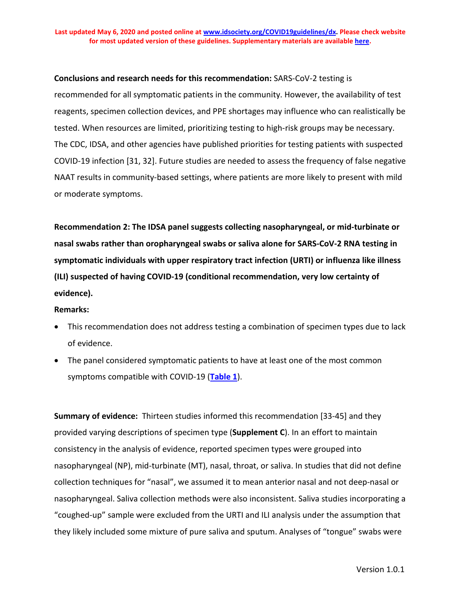#### **Conclusions and research needs for this recommendation:** SARS-CoV-2 testing is

recommended for all symptomatic patients in the community. However, the availability of test reagents, specimen collection devices, and PPE shortages may influence who can realistically be tested. When resources are limited, prioritizing testing to high-risk groups may be necessary. The CDC, IDSA, and other agencies have published priorities for testing patients with suspected COVID-19 infection [31, 32]. Future studies are needed to assess the frequency of false negative NAAT results in community-based settings, where patients are more likely to present with mild or moderate symptoms.

**Recommendation 2: The IDSA panel suggests collecting nasopharyngeal, or mid-turbinate or nasal swabs rather than oropharyngeal swabs or saliva alone for SARS-CoV-2 RNA testing in symptomatic individuals with upper respiratory tract infection (URTI) or influenza like illness (ILI) suspected of having COVID-19 (conditional recommendation, very low certainty of evidence).**

#### **Remarks:**

- This recommendation does not address testing a combination of specimen types due to lack of evidence.
- The panel considered symptomatic patients to have at least one of the most common symptoms compatible with COVID-19 (**[Table 1](#page-14-0)**).

**Summary of evidence:** Thirteen studies informed this recommendation [33-45] and they provided varying descriptions of specimen type (**Supplement C**). In an effort to maintain consistency in the analysis of evidence, reported specimen types were grouped into nasopharyngeal (NP), mid-turbinate (MT), nasal, throat, or saliva. In studies that did not define collection techniques for "nasal", we assumed it to mean anterior nasal and not deep-nasal or nasopharyngeal. Saliva collection methods were also inconsistent. Saliva studies incorporating a "coughed-up" sample were excluded from the URTI and ILI analysis under the assumption that they likely included some mixture of pure saliva and sputum. Analyses of "tongue" swabs were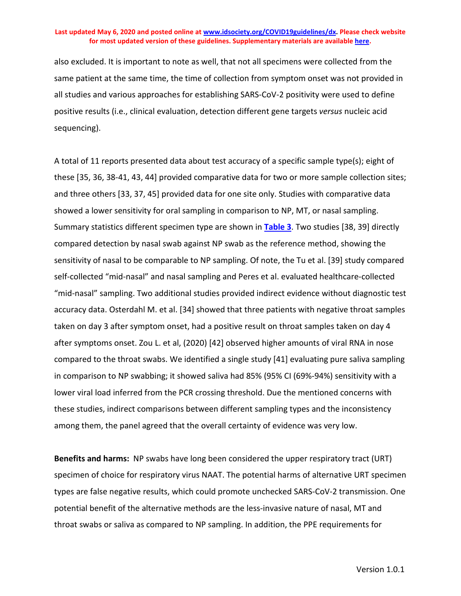also excluded. It is important to note as well, that not all specimens were collected from the same patient at the same time, the time of collection from symptom onset was not provided in all studies and various approaches for establishing SARS-CoV-2 positivity were used to define positive results (i.e., clinical evaluation, detection different gene targets *versus* nucleic acid sequencing).

A total of 11 reports presented data about test accuracy of a specific sample type(s); eight of these [35, 36, 38-41, 43, 44] provided comparative data for two or more sample collection sites; and three others [33, 37, 45] provided data for one site only. Studies with comparative data showed a lower sensitivity for oral sampling in comparison to NP, MT, or nasal sampling. Summary statistics different specimen type are shown in **[Table](#page-27-0) 3**. Two studies [38, 39] directly compared detection by nasal swab against NP swab as the reference method, showing the sensitivity of nasal to be comparable to NP sampling. Of note, the Tu et al. [39] study compared self-collected "mid-nasal" and nasal sampling and Peres et al. evaluated healthcare-collected "mid-nasal" sampling. Two additional studies provided indirect evidence without diagnostic test accuracy data. Osterdahl M. et al. [34] showed that three patients with negative throat samples taken on day 3 after symptom onset, had a positive result on throat samples taken on day 4 after symptoms onset. Zou L. et al, (2020) [42] observed higher amounts of viral RNA in nose compared to the throat swabs. We identified a single study [41] evaluating pure saliva sampling in comparison to NP swabbing; it showed saliva had 85% (95% CI (69%-94%) sensitivity with a lower viral load inferred from the PCR crossing threshold. Due the mentioned concerns with these studies, indirect comparisons between different sampling types and the inconsistency among them, the panel agreed that the overall certainty of evidence was very low.

**Benefits and harms:** NP swabs have long been considered the upper respiratory tract (URT) specimen of choice for respiratory virus NAAT. The potential harms of alternative URT specimen types are false negative results, which could promote unchecked SARS-CoV-2 transmission. One potential benefit of the alternative methods are the less-invasive nature of nasal, MT and throat swabs or saliva as compared to NP sampling. In addition, the PPE requirements for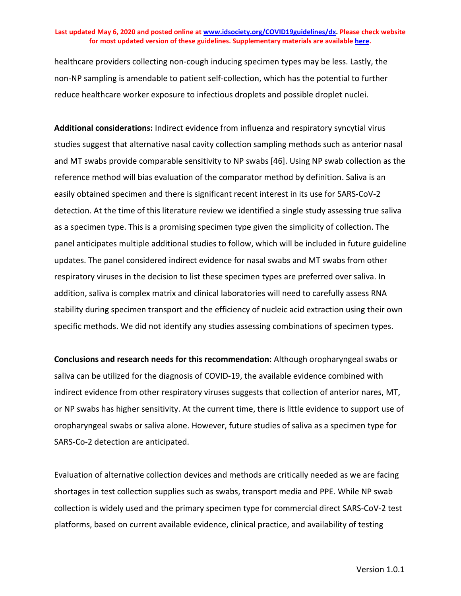healthcare providers collecting non-cough inducing specimen types may be less. Lastly, the non-NP sampling is amendable to patient self-collection, which has the potential to further reduce healthcare worker exposure to infectious droplets and possible droplet nuclei.

**Additional considerations:** Indirect evidence from influenza and respiratory syncytial virus studies suggest that alternative nasal cavity collection sampling methods such as anterior nasal and MT swabs provide comparable sensitivity to NP swabs [46]. Using NP swab collection as the reference method will bias evaluation of the comparator method by definition. Saliva is an easily obtained specimen and there is significant recent interest in its use for SARS-CoV-2 detection. At the time of this literature review we identified a single study assessing true saliva as a specimen type. This is a promising specimen type given the simplicity of collection. The panel anticipates multiple additional studies to follow, which will be included in future guideline updates. The panel considered indirect evidence for nasal swabs and MT swabs from other respiratory viruses in the decision to list these specimen types are preferred over saliva. In addition, saliva is complex matrix and clinical laboratories will need to carefully assess RNA stability during specimen transport and the efficiency of nucleic acid extraction using their own specific methods. We did not identify any studies assessing combinations of specimen types.

**Conclusions and research needs for this recommendation:** Although oropharyngeal swabs or saliva can be utilized for the diagnosis of COVID-19, the available evidence combined with indirect evidence from other respiratory viruses suggests that collection of anterior nares, MT, or NP swabs has higher sensitivity. At the current time, there is little evidence to support use of oropharyngeal swabs or saliva alone. However, future studies of saliva as a specimen type for SARS-Co-2 detection are anticipated.

Evaluation of alternative collection devices and methods are critically needed as we are facing shortages in test collection supplies such as swabs, transport media and PPE. While NP swab collection is widely used and the primary specimen type for commercial direct SARS-CoV-2 test platforms, based on current available evidence, clinical practice, and availability of testing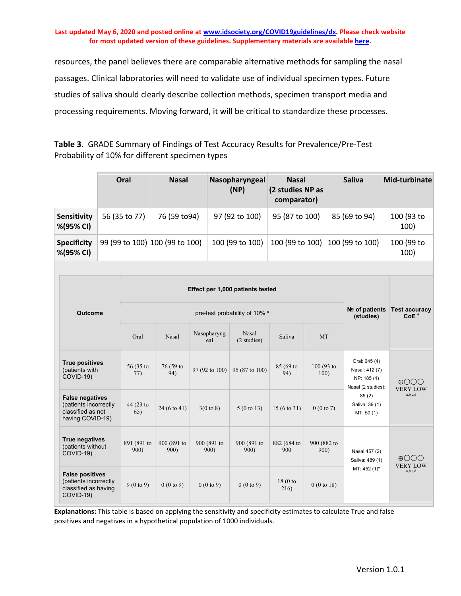resources, the panel believes there are comparable alternative methods for sampling the nasal passages. Clinical laboratories will need to validate use of individual specimen types. Future studies of saliva should clearly describe collection methods, specimen transport media and processing requirements. Moving forward, it will be critical to standardize these processes.

<span id="page-27-0"></span>**Table 3.** GRADE Summary of Findings of Test Accuracy Results for Prevalence/Pre-Test Probability of 10% for different specimen types

|                                                                                          | Oral                 | <b>Nasal</b>                   |                      | Nasopharyngeal<br>(NP)                   | <b>Nasal</b><br>(2 studies NP as<br>comparator) |                     |                                                                         | <b>Saliva</b>                                                        | Mid-turbinate                   |  |
|------------------------------------------------------------------------------------------|----------------------|--------------------------------|----------------------|------------------------------------------|-------------------------------------------------|---------------------|-------------------------------------------------------------------------|----------------------------------------------------------------------|---------------------------------|--|
| Sensitivity<br>%(95% CI)                                                                 | 56 (35 to 77)        | 76 (59 to 94)                  | 97 (92 to 100)       |                                          | 95 (87 to 100)                                  |                     | 85 (69 to 94)                                                           | 100 (93 to<br>100)                                                   |                                 |  |
| <b>Specificity</b><br>%(95% CI)                                                          |                      | 99 (99 to 100) 100 (99 to 100) |                      | 100 (99 to 100)                          |                                                 | 100 (99 to 100)     |                                                                         | 100 (99 to 100)                                                      | 100 (99 to<br>100)              |  |
|                                                                                          |                      |                                |                      |                                          |                                                 |                     |                                                                         |                                                                      |                                 |  |
|                                                                                          |                      |                                |                      | Effect per 1,000 patients tested         |                                                 |                     |                                                                         |                                                                      |                                 |  |
| <b>Outcome</b>                                                                           |                      |                                |                      | pre-test probability of 10% <sup>e</sup> |                                                 |                     | Nº of patients<br><b>Test accuracy</b><br>CoE <sup>f</sup><br>(studies) |                                                                      |                                 |  |
|                                                                                          | Oral                 | Nasal                          | Nasopharyng<br>eal   | <b>Nasal</b><br>(2 studies)              | Saliva                                          | <b>MT</b>           |                                                                         |                                                                      |                                 |  |
| <b>True positives</b><br>(patients with<br>COVID-19)                                     | 56 (35 to<br>77)     | 76 (59 to<br>94)               | 97 (92 to 100)       | 95 (87 to 100)                           | 85 (69 to<br>94)                                | 100 (93 to<br>100)  |                                                                         | Oral: 645 (4)<br>Nasal: 412 (7)<br>NP: 185 (4)<br>Nasal (2 studies): | $\bigoplus$<br><b>VERY LOW</b>  |  |
| <b>False negatives</b><br>(patients incorrectly<br>classified as not<br>having COVID-19) | 44 (23 to<br>65)     | 24 (6 to 41)                   | $3(0 \text{ to } 8)$ | $5(0 \text{ to } 13)$                    | $15(6 \text{ to } 31)$                          | 0(0 to 7)           |                                                                         | 85(2)<br>Saliva: 39 (1)<br>MT: 50(1)                                 | a,b,c,d                         |  |
| True negatives<br>(patients without<br>COVID-19)                                         | 891 (891 to<br>900)  | 900 (891 to<br>900)            | 900 (891 to<br>900)  | 900 (891 to<br>900)                      | 882 (684 to<br>900                              | 900 (882 to<br>900) |                                                                         | Nasal 457 (2)<br>Saliva: 489 (1)                                     | $\oplus$ OOO<br><b>VERY LOW</b> |  |
| <b>False positives</b><br>(patients incorrectly<br>classified as having<br>COVID-19)     | $9(0 \text{ to } 9)$ | 0(0 to 9)                      | 0(0 to 9)            | 0(0 to 9)                                | 18(0 <sub>to</sub> )<br>216)                    | 0(0 to 18)          |                                                                         | MT: 452 (1)*                                                         | a,b,c,d                         |  |

**Explanations:** This table is based on applying the sensitivity and specificity estimates to calculate True and false positives and negatives in a hypothetical population of 1000 individuals.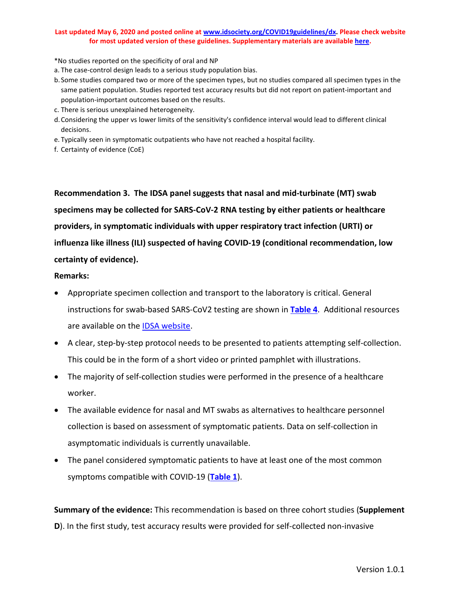\*No studies reported on the specificity of oral and NP

- a. The case-control design leads to a serious study population bias.
- b. Some studies compared two or more of the specimen types, but no studies compared all specimen types in the same patient population. Studies reported test accuracy results but did not report on patient-important and population-important outcomes based on the results.
- c. There is serious unexplained heterogeneity.
- d.Considering the upper vs lower limits of the sensitivity's confidence interval would lead to different clinical decisions.
- e. Typically seen in symptomatic outpatients who have not reached a hospital facility.
- f. Certainty of evidence (CoE)

**Recommendation 3. The IDSA panel suggests that nasal and mid-turbinate (MT) swab specimens may be collected for SARS-CoV-2 RNA testing by either patients or healthcare providers, in symptomatic individuals with upper respiratory tract infection (URTI) or influenza like illness (ILI) suspected of having COVID-19 (conditional recommendation, low certainty of evidence).**

#### **Remarks:**

- Appropriate specimen collection and transport to the laboratory is critical. General instructions for swab-based SARS-CoV2 testing are shown in **[Table 4](#page-30-0)**. Additional resources are available on the **IDSA** website.
- A clear, step-by-step protocol needs to be presented to patients attempting self-collection. This could be in the form of a short video or printed pamphlet with illustrations.
- The majority of self-collection studies were performed in the presence of a healthcare worker.
- The available evidence for nasal and MT swabs as alternatives to healthcare personnel collection is based on assessment of symptomatic patients. Data on self-collection in asymptomatic individuals is currently unavailable.
- The panel considered symptomatic patients to have at least one of the most common symptoms compatible with COVID-19 (**[Table 1](#page-14-0)**).

**Summary of the evidence:** This recommendation is based on three cohort studies (**Supplement D**). In the first study, test accuracy results were provided for self-collected non-invasive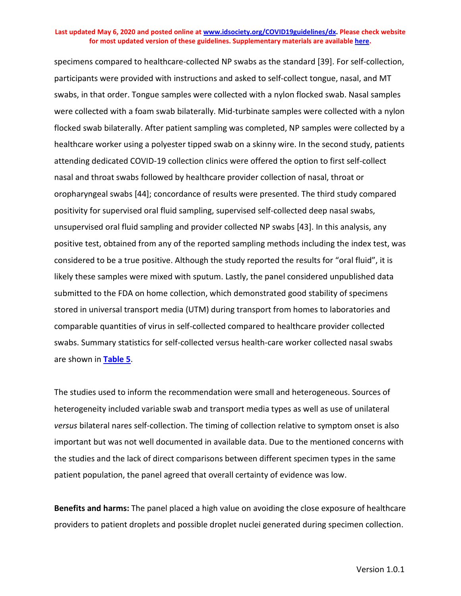specimens compared to healthcare-collected NP swabs as the standard [39]. For self-collection, participants were provided with instructions and asked to self-collect tongue, nasal, and MT swabs, in that order. Tongue samples were collected with a nylon flocked swab. Nasal samples were collected with a foam swab bilaterally. Mid-turbinate samples were collected with a nylon flocked swab bilaterally. After patient sampling was completed, NP samples were collected by a healthcare worker using a polyester tipped swab on a skinny wire. In the second study, patients attending dedicated COVID-19 collection clinics were offered the option to first self-collect nasal and throat swabs followed by healthcare provider collection of nasal, throat or oropharyngeal swabs [44]; concordance of results were presented. The third study compared positivity for supervised oral fluid sampling, supervised self-collected deep nasal swabs, unsupervised oral fluid sampling and provider collected NP swabs [43]. In this analysis, any positive test, obtained from any of the reported sampling methods including the index test, was considered to be a true positive. Although the study reported the results for "oral fluid", it is likely these samples were mixed with sputum. Lastly, the panel considered unpublished data submitted to the FDA on home collection, which demonstrated good stability of specimens stored in universal transport media (UTM) during transport from homes to laboratories and comparable quantities of virus in self-collected compared to healthcare provider collected swabs. Summary statistics for self-collected versus health-care worker collected nasal swabs are shown in **[Table 5](#page-32-0)**.

The studies used to inform the recommendation were small and heterogeneous. Sources of heterogeneity included variable swab and transport media types as well as use of unilateral *versus* bilateral nares self-collection. The timing of collection relative to symptom onset is also important but was not well documented in available data. Due to the mentioned concerns with the studies and the lack of direct comparisons between different specimen types in the same patient population, the panel agreed that overall certainty of evidence was low.

**Benefits and harms:** The panel placed a high value on avoiding the close exposure of healthcare providers to patient droplets and possible droplet nuclei generated during specimen collection.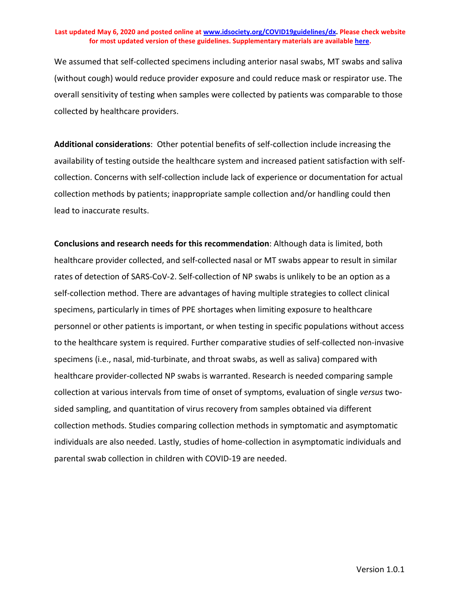We assumed that self-collected specimens including anterior nasal swabs, MT swabs and saliva (without cough) would reduce provider exposure and could reduce mask or respirator use. The overall sensitivity of testing when samples were collected by patients was comparable to those collected by healthcare providers.

**Additional considerations**: Other potential benefits of self-collection include increasing the availability of testing outside the healthcare system and increased patient satisfaction with selfcollection. Concerns with self-collection include lack of experience or documentation for actual collection methods by patients; inappropriate sample collection and/or handling could then lead to inaccurate results.

<span id="page-30-0"></span>**Conclusions and research needs for this recommendation**: Although data is limited, both healthcare provider collected, and self-collected nasal or MT swabs appear to result in similar rates of detection of SARS-CoV-2. Self-collection of NP swabs is unlikely to be an option as a self-collection method. There are advantages of having multiple strategies to collect clinical specimens, particularly in times of PPE shortages when limiting exposure to healthcare personnel or other patients is important, or when testing in specific populations without access to the healthcare system is required. Further comparative studies of self-collected non-invasive specimens (i.e., nasal, mid-turbinate, and throat swabs, as well as saliva) compared with healthcare provider-collected NP swabs is warranted. Research is needed comparing sample collection at various intervals from time of onset of symptoms, evaluation of single *versus* twosided sampling, and quantitation of virus recovery from samples obtained via different collection methods. Studies comparing collection methods in symptomatic and asymptomatic individuals are also needed. Lastly, studies of home-collection in asymptomatic individuals and parental swab collection in children with COVID-19 are needed.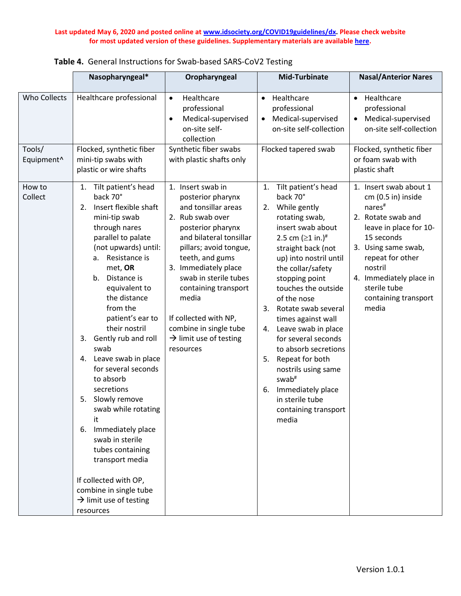|                                                  | Nasopharyngeal*                                                                                                                                                                                                                                                                                                                                                                                                                                                                                                                                                                                                                                                     | Oropharyngeal                                                                                                                                                                                                                                                                                                                                                          | <b>Mid-Turbinate</b>                                                                                                                                                                                                                                                                                                                                                                                                                                                                                                                                 | <b>Nasal/Anterior Nares</b>                                                                                                                                                                                                                                        |
|--------------------------------------------------|---------------------------------------------------------------------------------------------------------------------------------------------------------------------------------------------------------------------------------------------------------------------------------------------------------------------------------------------------------------------------------------------------------------------------------------------------------------------------------------------------------------------------------------------------------------------------------------------------------------------------------------------------------------------|------------------------------------------------------------------------------------------------------------------------------------------------------------------------------------------------------------------------------------------------------------------------------------------------------------------------------------------------------------------------|------------------------------------------------------------------------------------------------------------------------------------------------------------------------------------------------------------------------------------------------------------------------------------------------------------------------------------------------------------------------------------------------------------------------------------------------------------------------------------------------------------------------------------------------------|--------------------------------------------------------------------------------------------------------------------------------------------------------------------------------------------------------------------------------------------------------------------|
| Who Collects<br>Tools/<br>Equipment <sup>^</sup> | Healthcare professional<br>Flocked, synthetic fiber<br>mini-tip swabs with<br>plastic or wire shafts                                                                                                                                                                                                                                                                                                                                                                                                                                                                                                                                                                | Healthcare<br>$\bullet$<br>professional<br>Medical-supervised<br>$\bullet$<br>on-site self-<br>collection<br>Synthetic fiber swabs<br>with plastic shafts only                                                                                                                                                                                                         | Healthcare<br>$\bullet$<br>professional<br>Medical-supervised<br>$\bullet$<br>on-site self-collection<br>Flocked tapered swab                                                                                                                                                                                                                                                                                                                                                                                                                        | Healthcare<br>$\bullet$<br>professional<br>Medical-supervised<br>on-site self-collection<br>Flocked, synthetic fiber<br>or foam swab with<br>plastic shaft                                                                                                         |
| How to<br>Collect                                | 1. Tilt patient's head<br>back 70°<br>Insert flexible shaft<br>2.<br>mini-tip swab<br>through nares<br>parallel to palate<br>(not upwards) until:<br>Resistance is<br>а.<br>met, OR<br>b <sub>1</sub><br>Distance is<br>equivalent to<br>the distance<br>from the<br>patient's ear to<br>their nostril<br>Gently rub and roll<br>3.<br>swab<br>4. Leave swab in place<br>for several seconds<br>to absorb<br>secretions<br>5. Slowly remove<br>swab while rotating<br>it<br>Immediately place<br>6.<br>swab in sterile<br>tubes containing<br>transport media<br>If collected with OP,<br>combine in single tube<br>$\rightarrow$ limit use of testing<br>resources | 1. Insert swab in<br>posterior pharynx<br>and tonsillar areas<br>2. Rub swab over<br>posterior pharynx<br>and bilateral tonsillar<br>pillars; avoid tongue,<br>teeth, and gums<br>3. Immediately place<br>swab in sterile tubes<br>containing transport<br>media<br>If collected with NP,<br>combine in single tube<br>$\rightarrow$ limit use of testing<br>resources | Tilt patient's head<br>1.<br>back 70°<br>While gently<br>2.<br>rotating swab,<br>insert swab about<br>2.5 cm $(≥1 in.)$ <sup>#</sup><br>straight back (not<br>up) into nostril until<br>the collar/safety<br>stopping point<br>touches the outside<br>of the nose<br>3.<br>Rotate swab several<br>times against wall<br>Leave swab in place<br>4.<br>for several seconds<br>to absorb secretions<br>Repeat for both<br>5.<br>nostrils using same<br>swab <sup>#</sup><br>Immediately place<br>6.<br>in sterile tube<br>containing transport<br>media | 1. Insert swab about 1<br>cm (0.5 in) inside<br>nares <sup>#</sup><br>2. Rotate swab and<br>leave in place for 10-<br>15 seconds<br>3. Using same swab,<br>repeat for other<br>nostril<br>4. Immediately place in<br>sterile tube<br>containing transport<br>media |

**Table 4.** General Instructions for Swab-based SARS-CoV2 Testing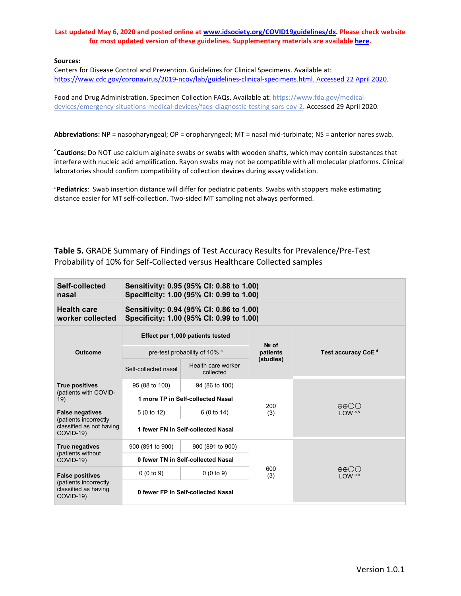#### **Sources:**

Centers for Disease Control and Prevention. Guidelines for Clinical Specimens. Available at: [https://www.cdc.gov/coronavirus/2019-ncov/lab/guidelines-clinical-specimens.html. Accessed 22 April 2020.](https://www.cdc.gov/coronavirus/2019-ncov/lab/guidelines-clinical-specimens.html.%20Accessed%2022%20April%202020)

Food and Drug Administration. Specimen Collection FAQs. Available at[: https://www.fda.gov/medical](https://www.fda.gov/medical-devices/emergency-situations-medical-devices/faqs-diagnostic-testing-sars-cov-2)[devices/emergency-situations-medical-devices/faqs-diagnostic-testing-sars-cov-2.](https://www.fda.gov/medical-devices/emergency-situations-medical-devices/faqs-diagnostic-testing-sars-cov-2) Accessed 29 April 2020.

**Abbreviations:** NP = nasopharyngeal; OP = oropharyngeal; MT = nasal mid-turbinate; NS = anterior nares swab.

**^ Cautions:** Do NOT use calcium alginate swabs or swabs with wooden shafts, which may contain substances that interfere with nucleic acid amplification. Rayon swabs may not be compatible with all molecular platforms. Clinical laboratories should confirm compatibility of collection devices during assay validation.

<span id="page-32-0"></span># **Pediatrics**: Swab insertion distance will differ for pediatric patients. Swabs with stoppers make estimating distance easier for MT self-collection. Two-sided MT sampling not always performed.

## **Table 5.** GRADE Summary of Findings of Test Accuracy Results for Prevalence/Pre-Test Probability of 10% for Self-Collected versus Healthcare Collected samples

| Self-collected<br>nasal                                                              | Sensitivity: 0.95 (95% CI: 0.88 to 1.00)<br>Specificity: 1.00 (95% CI: 0.99 to 1.00) |                                                                                      |                     |                                                 |  |  |
|--------------------------------------------------------------------------------------|--------------------------------------------------------------------------------------|--------------------------------------------------------------------------------------|---------------------|-------------------------------------------------|--|--|
| <b>Health care</b><br>worker collected                                               |                                                                                      | Sensitivity: 0.94 (95% CI: 0.86 to 1.00)<br>Specificity: 1.00 (95% CI: 0.99 to 1.00) |                     |                                                 |  |  |
|                                                                                      |                                                                                      | Effect per 1,000 patients tested                                                     |                     |                                                 |  |  |
| <b>Outcome</b>                                                                       |                                                                                      | pre-test probability of 10% °                                                        | $Ne$ of<br>patients | Test accuracy CoE <sup>d</sup>                  |  |  |
|                                                                                      | Self-collected nasal                                                                 | Health care worker<br>collected                                                      | (studies)           |                                                 |  |  |
| <b>True positives</b>                                                                | 95 (88 to 100)                                                                       | 94 (86 to 100)                                                                       |                     |                                                 |  |  |
| (patients with COVID-<br>19)                                                         |                                                                                      | 1 more TP in Self-collected Nasal                                                    | 200                 | $\oplus \oplus \bigcirc \bigcirc$               |  |  |
| <b>False negatives</b>                                                               | 5(0 to 12)                                                                           | 6 (0 to 14)                                                                          | (3)                 | $1$ OW $a,b$                                    |  |  |
| (patients incorrectly<br>classified as not having<br>COVID-19)                       | 1 fewer FN in Self-collected Nasal                                                   |                                                                                      |                     |                                                 |  |  |
| <b>True negatives</b>                                                                | 900 (891 to 900)<br>900 (891 to 900)                                                 |                                                                                      |                     |                                                 |  |  |
| (patients without<br>COVID-19)                                                       | 0 fewer TN in Self-collected Nasal                                                   |                                                                                      |                     |                                                 |  |  |
| <b>False positives</b><br>(patients incorrectly<br>classified as having<br>COVID-19) | 0(0 to 9)                                                                            | 0(0 to 9)                                                                            | 600<br>(3)          | $\oplus$ $\oplus$ $\odot$<br>LOW <sup>a,b</sup> |  |  |
|                                                                                      | 0 fewer FP in Self-collected Nasal                                                   |                                                                                      |                     |                                                 |  |  |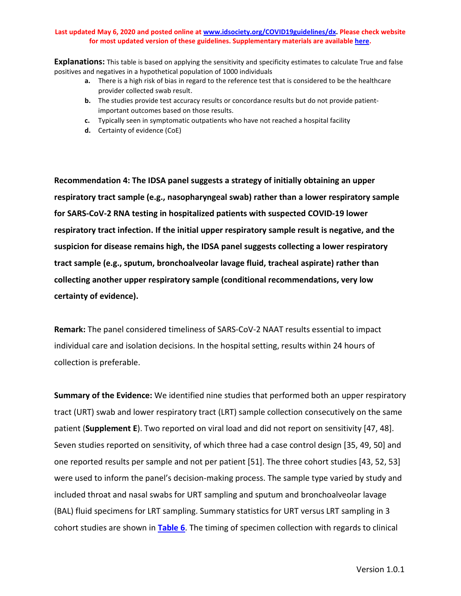**Explanations:** This table is based on applying the sensitivity and specificity estimates to calculate True and false positives and negatives in a hypothetical population of 1000 individuals

- **a.** There is a high risk of bias in regard to the reference test that is considered to be the healthcare provider collected swab result.
- **b.** The studies provide test accuracy results or concordance results but do not provide patientimportant outcomes based on those results.
- **c.** Typically seen in symptomatic outpatients who have not reached a hospital facility
- **d.** Certainty of evidence (CoE)

**Recommendation 4: The IDSA panel suggests a strategy of initially obtaining an upper respiratory tract sample (e.g., nasopharyngeal swab) rather than a lower respiratory sample for SARS-CoV-2 RNA testing in hospitalized patients with suspected COVID-19 lower respiratory tract infection. If the initial upper respiratory sample result is negative, and the suspicion for disease remains high, the IDSA panel suggests collecting a lower respiratory tract sample (e.g., sputum, bronchoalveolar lavage fluid, tracheal aspirate) rather than collecting another upper respiratory sample (conditional recommendations, very low certainty of evidence).**

**Remark:** The panel considered timeliness of SARS-CoV-2 NAAT results essential to impact individual care and isolation decisions. In the hospital setting, results within 24 hours of collection is preferable.

**Summary of the Evidence:** We identified nine studies that performed both an upper respiratory tract (URT) swab and lower respiratory tract (LRT) sample collection consecutively on the same patient (**Supplement E**). Two reported on viral load and did not report on sensitivity [47, 48]. Seven studies reported on sensitivity, of which three had a case control design [35, 49, 50] and one reported results per sample and not per patient [51]. The three cohort studies [43, 52, 53] were used to inform the panel's decision-making process. The sample type varied by study and included throat and nasal swabs for URT sampling and sputum and bronchoalveolar lavage (BAL) fluid specimens for LRT sampling. Summary statistics for URT versus LRT sampling in 3 cohort studies are shown in **[Table 6](#page-35-0)**. The timing of specimen collection with regards to clinical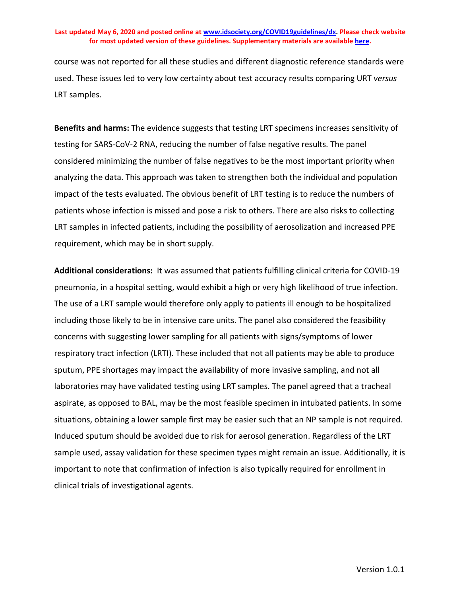course was not reported for all these studies and different diagnostic reference standards were used. These issues led to very low certainty about test accuracy results comparing URT *versus* LRT samples.

**Benefits and harms:** The evidence suggests that testing LRT specimens increases sensitivity of testing for SARS-CoV-2 RNA, reducing the number of false negative results. The panel considered minimizing the number of false negatives to be the most important priority when analyzing the data. This approach was taken to strengthen both the individual and population impact of the tests evaluated. The obvious benefit of LRT testing is to reduce the numbers of patients whose infection is missed and pose a risk to others. There are also risks to collecting LRT samples in infected patients, including the possibility of aerosolization and increased PPE requirement, which may be in short supply.

**Additional considerations:** It was assumed that patients fulfilling clinical criteria for COVID-19 pneumonia, in a hospital setting, would exhibit a high or very high likelihood of true infection. The use of a LRT sample would therefore only apply to patients ill enough to be hospitalized including those likely to be in intensive care units. The panel also considered the feasibility concerns with suggesting lower sampling for all patients with signs/symptoms of lower respiratory tract infection (LRTI). These included that not all patients may be able to produce sputum, PPE shortages may impact the availability of more invasive sampling, and not all laboratories may have validated testing using LRT samples. The panel agreed that a tracheal aspirate, as opposed to BAL, may be the most feasible specimen in intubated patients. In some situations, obtaining a lower sample first may be easier such that an NP sample is not required. Induced sputum should be avoided due to risk for aerosol generation. Regardless of the LRT sample used, assay validation for these specimen types might remain an issue. Additionally, it is important to note that confirmation of infection is also typically required for enrollment in clinical trials of investigational agents.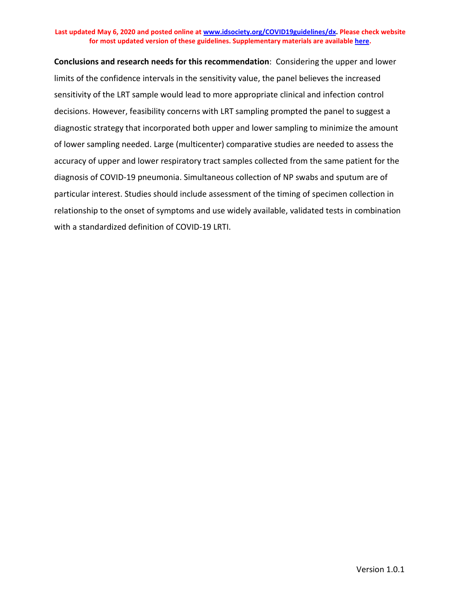<span id="page-35-0"></span>**Conclusions and research needs for this recommendation**: Considering the upper and lower limits of the confidence intervals in the sensitivity value, the panel believes the increased sensitivity of the LRT sample would lead to more appropriate clinical and infection control decisions. However, feasibility concerns with LRT sampling prompted the panel to suggest a diagnostic strategy that incorporated both upper and lower sampling to minimize the amount of lower sampling needed. Large (multicenter) comparative studies are needed to assess the accuracy of upper and lower respiratory tract samples collected from the same patient for the diagnosis of COVID-19 pneumonia. Simultaneous collection of NP swabs and sputum are of particular interest. Studies should include assessment of the timing of specimen collection in relationship to the onset of symptoms and use widely available, validated tests in combination with a standardized definition of COVID-19 LRTI.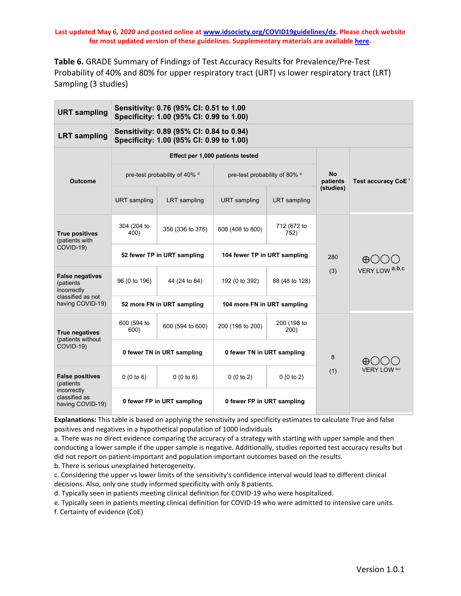**Table 6.** GRADE Summary of Findings of Test Accuracy Results for Prevalence/Pre-Test Probability of 40% and 80% for upper respiratory tract (URT) vs lower respiratory tract (LRT) Sampling (3 studies)

| <b>URT</b> sampling                                                                     | Sensitivity: 0.76 (95% CI: 0.51 to 1.00<br>Specificity: 1.00 (95% CI: 0.99 to 1.00) |                                                                                      |                                          |                     |                |                                |  |
|-----------------------------------------------------------------------------------------|-------------------------------------------------------------------------------------|--------------------------------------------------------------------------------------|------------------------------------------|---------------------|----------------|--------------------------------|--|
| <b>LRT</b> sampling                                                                     |                                                                                     | Sensitivity: 0.89 (95% CI: 0.84 to 0.94)<br>Specificity: 1.00 (95% CI: 0.99 to 1.00) |                                          |                     |                |                                |  |
|                                                                                         |                                                                                     |                                                                                      | Effect per 1,000 patients tested         |                     |                |                                |  |
| <b>Outcome</b>                                                                          |                                                                                     | pre-test probability of 40% d                                                        | pre-test probability of 80% <sup>e</sup> |                     | No<br>patients | Test accuracy CoE <sup>T</sup> |  |
|                                                                                         | <b>URT</b> sampling                                                                 | LRT sampling                                                                         | <b>URT</b> sampling                      | LRT sampling        | (studies)      |                                |  |
| <b>True positives</b><br>(patients with                                                 | 304 (204 to<br>400)                                                                 | 356 (336 to 376)                                                                     | 608 (408 to 800)                         | 712 (672 to<br>752) |                |                                |  |
| COVID-19)                                                                               | 52 fewer TP in URT sampling                                                         |                                                                                      | 104 fewer TP in URT sampling             |                     | 280            | $\oplus$                       |  |
| <b>False negatives</b><br>(patients<br>incorrectly                                      | 96 (0 to 196)                                                                       | 44 (24 to 64)                                                                        | 192 (0 to 392)                           | 88 (48 to 128)      | (3)            | VERY LOW a,b,c                 |  |
| classified as not<br>having COVID-19)                                                   | 52 more FN in URT sampling                                                          |                                                                                      | 104 more FN in URT sampling              |                     |                |                                |  |
| <b>True negatives</b><br>(patients without<br>COVID-19)                                 | 600 (594 to<br>600)                                                                 | 600 (594 to 600)                                                                     | 200 (198 to 200)                         | 200 (198 to<br>200) |                |                                |  |
|                                                                                         | 0 fewer TN in URT sampling                                                          |                                                                                      | 0 fewer TN in URT sampling               |                     | 8              | H٣                             |  |
| <b>False positives</b><br>(patients<br>incorrectly<br>classified as<br>having COVID-19) | 0(0 to 6)                                                                           | 0(0 to 6)                                                                            | 0(0 to 2)                                | 0(0 to 2)           | (1)            | VERY LOW <sup>a,c</sup>        |  |
|                                                                                         | 0 fewer FP in URT sampling                                                          |                                                                                      | 0 fewer FP in URT sampling               |                     |                |                                |  |

**Explanations:** This table is based on applying the sensitivity and specificity estimates to calculate True and false positives and negatives in a hypothetical population of 1000 individuals

a. There was no direct evidence comparing the accuracy of a strategy with starting with upper sample and then conducting a lower sample if the upper sample is negative. Additionally, studies reported test accuracy results but did not report on patient-important and population-important outcomes based on the results.

b. There is serious unexplained heterogeneity.

c. Considering the upper vs lower limits of the sensitivity's confidence interval would lead to different clinical decisions. Also, only one study informed specificity with only 8 patients.

d. Typically seen in patients meeting clinical definition for COVID-19 who were hospitalized.

e. Typically seen in patients meeting clinical definition for COVID-19 who were admitted to intensive care units. f. Certainty of evidence (CoE)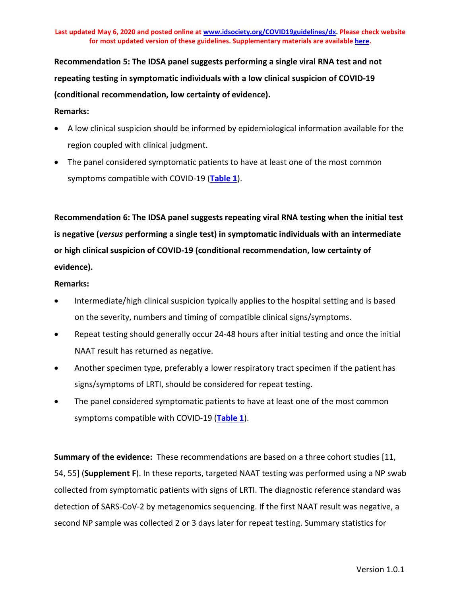**Recommendation 5: The IDSA panel suggests performing a single viral RNA test and not repeating testing in symptomatic individuals with a low clinical suspicion of COVID-19 (conditional recommendation, low certainty of evidence).**

## **Remarks:**

- A low clinical suspicion should be informed by epidemiological information available for the region coupled with clinical judgment.
- The panel considered symptomatic patients to have at least one of the most common symptoms compatible with COVID-19 (**[Table 1](#page-14-0)**).

**Recommendation 6: The IDSA panel suggests repeating viral RNA testing when the initial test is negative (***versus* **performing a single test) in symptomatic individuals with an intermediate or high clinical suspicion of COVID-19 (conditional recommendation, low certainty of evidence).**

## **Remarks:**

- Intermediate/high clinical suspicion typically applies to the hospital setting and is based on the severity, numbers and timing of compatible clinical signs/symptoms.
- Repeat testing should generally occur 24-48 hours after initial testing and once the initial NAAT result has returned as negative.
- Another specimen type, preferably a lower respiratory tract specimen if the patient has signs/symptoms of LRTI, should be considered for repeat testing.
- The panel considered symptomatic patients to have at least one of the most common symptoms compatible with COVID-19 (**[Table 1](#page-14-0)**).

**Summary of the evidence:** These recommendations are based on a three cohort studies [11, 54, 55] (**Supplement F**). In these reports, targeted NAAT testing was performed using a NP swab collected from symptomatic patients with signs of LRTI. The diagnostic reference standard was detection of SARS-CoV-2 by metagenomics sequencing. If the first NAAT result was negative, a second NP sample was collected 2 or 3 days later for repeat testing. Summary statistics for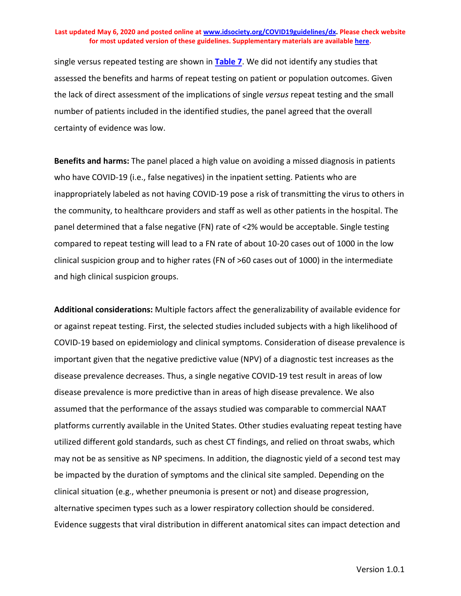single versus repeated testing are shown in **[Table 7](#page-39-0)**. We did not identify any studies that assessed the benefits and harms of repeat testing on patient or population outcomes. Given the lack of direct assessment of the implications of single *versus* repeat testing and the small number of patients included in the identified studies, the panel agreed that the overall certainty of evidence was low.

**Benefits and harms:** The panel placed a high value on avoiding a missed diagnosis in patients who have COVID-19 (i.e., false negatives) in the inpatient setting. Patients who are inappropriately labeled as not having COVID-19 pose a risk of transmitting the virus to others in the community, to healthcare providers and staff as well as other patients in the hospital. The panel determined that a false negative (FN) rate of <2% would be acceptable. Single testing compared to repeat testing will lead to a FN rate of about 10-20 cases out of 1000 in the low clinical suspicion group and to higher rates (FN of >60 cases out of 1000) in the intermediate and high clinical suspicion groups.

**Additional considerations:** Multiple factors affect the generalizability of available evidence for or against repeat testing. First, the selected studies included subjects with a high likelihood of COVID-19 based on epidemiology and clinical symptoms. Consideration of disease prevalence is important given that the negative predictive value (NPV) of a diagnostic test increases as the disease prevalence decreases. Thus, a single negative COVID-19 test result in areas of low disease prevalence is more predictive than in areas of high disease prevalence. We also assumed that the performance of the assays studied was comparable to commercial NAAT platforms currently available in the United States. Other studies evaluating repeat testing have utilized different gold standards, such as chest CT findings, and relied on throat swabs, which may not be as sensitive as NP specimens. In addition, the diagnostic yield of a second test may be impacted by the duration of symptoms and the clinical site sampled. Depending on the clinical situation (e.g., whether pneumonia is present or not) and disease progression, alternative specimen types such as a lower respiratory collection should be considered. Evidence suggests that viral distribution in different anatomical sites can impact detection and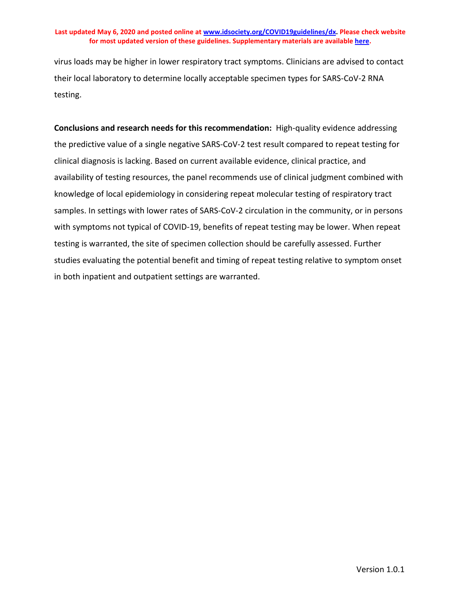virus loads may be higher in lower respiratory tract symptoms. Clinicians are advised to contact their local laboratory to determine locally acceptable specimen types for SARS-CoV-2 RNA testing.

<span id="page-39-0"></span>**Conclusions and research needs for this recommendation:** High-quality evidence addressing the predictive value of a single negative SARS-CoV-2 test result compared to repeat testing for clinical diagnosis is lacking. Based on current available evidence, clinical practice, and availability of testing resources, the panel recommends use of clinical judgment combined with knowledge of local epidemiology in considering repeat molecular testing of respiratory tract samples. In settings with lower rates of SARS-CoV-2 circulation in the community, or in persons with symptoms not typical of COVID-19, benefits of repeat testing may be lower. When repeat testing is warranted, the site of specimen collection should be carefully assessed. Further studies evaluating the potential benefit and timing of repeat testing relative to symptom onset in both inpatient and outpatient settings are warranted.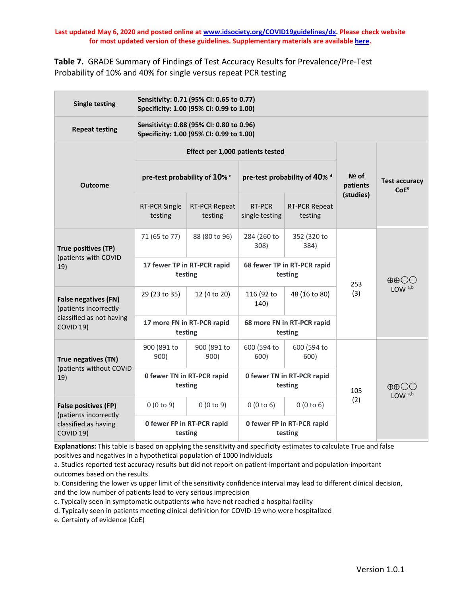**Table 7.** GRADE Summary of Findings of Test Accuracy Results for Prevalence/Pre-Test Probability of 10% and 40% for single versus repeat PCR testing

| <b>Single testing</b>                                                                     |                                                                                | Sensitivity: 0.71 (95% CI: 0.65 to 0.77)<br>Specificity: 1.00 (95% CI: 0.99 to 1.00) |                                        |                                 |                   |                                          |  |  |
|-------------------------------------------------------------------------------------------|--------------------------------------------------------------------------------|--------------------------------------------------------------------------------------|----------------------------------------|---------------------------------|-------------------|------------------------------------------|--|--|
| <b>Repeat testing</b>                                                                     |                                                                                | Sensitivity: 0.88 (95% CI: 0.80 to 0.96)<br>Specificity: 1.00 (95% CI: 0.99 to 1.00) |                                        |                                 |                   |                                          |  |  |
|                                                                                           |                                                                                | Effect per 1,000 patients tested                                                     |                                        |                                 |                   |                                          |  |  |
| <b>Outcome</b>                                                                            | pre-test probability of 10% c                                                  |                                                                                      | pre-test probability of 40% d          |                                 | Nº of<br>patients | <b>Test accuracy</b><br>CoE <sup>e</sup> |  |  |
|                                                                                           | <b>RT-PCR Single</b><br>testing                                                | <b>RT-PCR Repeat</b><br>testing                                                      | RT-PCR<br>single testing               | <b>RT-PCR Repeat</b><br>testing | (studies)         |                                          |  |  |
| True positives (TP)<br>(patients with COVID<br>19)                                        | 71 (65 to 77)                                                                  | 88 (80 to 96)                                                                        | 284 (260 to<br>308)                    | 352 (320 to<br>384)             |                   |                                          |  |  |
|                                                                                           | 17 fewer TP in RT-PCR rapid<br>testing                                         |                                                                                      | 68 fewer TP in RT-PCR rapid<br>testing |                                 | 253               | $\oplus$ $\oplus$                        |  |  |
| <b>False negatives (FN)</b><br>(patients incorrectly                                      | 29 (23 to 35)                                                                  | 12 (4 to 20)                                                                         | 116 (92 to<br>140)                     | 48 (16 to 80)                   | (3)               | LOW <sup>a,b</sup>                       |  |  |
| classified as not having<br>COVID <sub>19</sub> )                                         | 17 more FN in RT-PCR rapid<br>testing                                          |                                                                                      | 68 more FN in RT-PCR rapid<br>testing  |                                 |                   |                                          |  |  |
| True negatives (TN)<br>(patients without COVID<br>19)                                     | 900 (891 to<br>900)                                                            | 900 (891 to<br>900)                                                                  | 600 (594 to<br>600)                    | 600 (594 to<br>600)             |                   |                                          |  |  |
|                                                                                           | 0 fewer TN in RT-PCR rapid<br>testing                                          |                                                                                      | 0 fewer TN in RT-PCR rapid<br>testing  |                                 | 105               | $\oplus$ $\oplus$<br>LOW <sup>a,b</sup>  |  |  |
| <b>False positives (FP)</b><br>(patients incorrectly<br>classified as having<br>COVID 19) | 0(0 to 9)                                                                      | 0(0 to 9)                                                                            | 0(0 to 6)                              | 0(0 to 6)                       | (2)               |                                          |  |  |
|                                                                                           | 0 fewer FP in RT-PCR rapid<br>0 fewer FP in RT-PCR rapid<br>testing<br>testing |                                                                                      |                                        |                                 |                   |                                          |  |  |

**Explanations:** This table is based on applying the sensitivity and specificity estimates to calculate True and false positives and negatives in a hypothetical population of 1000 individuals

a. Studies reported test accuracy results but did not report on patient-important and population-important outcomes based on the results.

b. Considering the lower vs upper limit of the sensitivity confidence interval may lead to different clinical decision, and the low number of patients lead to very serious imprecision

c. Typically seen in symptomatic outpatients who have not reached a hospital facility

d. Typically seen in patients meeting clinical definition for COVID-19 who were hospitalized

e. Certainty of evidence (CoE)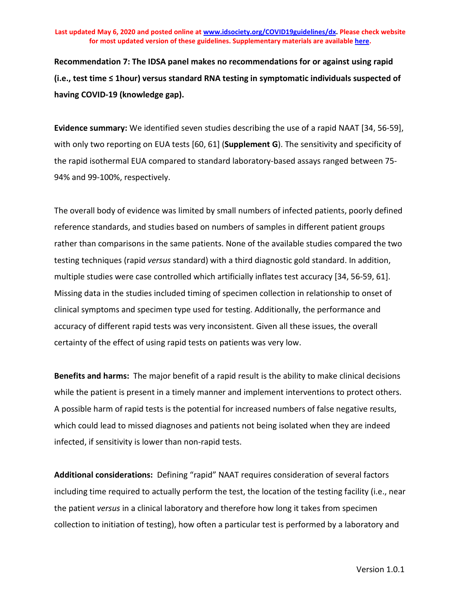**Recommendation 7: The IDSA panel makes no recommendations for or against using rapid (i.e., test time ≤ 1hour) versus standard RNA testing in symptomatic individuals suspected of having COVID-19 (knowledge gap).**

**Evidence summary:** We identified seven studies describing the use of a rapid NAAT [34, 56-59], with only two reporting on EUA tests [60, 61] (**Supplement G**). The sensitivity and specificity of the rapid isothermal EUA compared to standard laboratory-based assays ranged between 75- 94% and 99-100%, respectively.

The overall body of evidence was limited by small numbers of infected patients, poorly defined reference standards, and studies based on numbers of samples in different patient groups rather than comparisons in the same patients. None of the available studies compared the two testing techniques (rapid *versus* standard) with a third diagnostic gold standard. In addition, multiple studies were case controlled which artificially inflates test accuracy [34, 56-59, 61]. Missing data in the studies included timing of specimen collection in relationship to onset of clinical symptoms and specimen type used for testing. Additionally, the performance and accuracy of different rapid tests was very inconsistent. Given all these issues, the overall certainty of the effect of using rapid tests on patients was very low.

**Benefits and harms:** The major benefit of a rapid result is the ability to make clinical decisions while the patient is present in a timely manner and implement interventions to protect others. A possible harm of rapid tests is the potential for increased numbers of false negative results, which could lead to missed diagnoses and patients not being isolated when they are indeed infected, if sensitivity is lower than non-rapid tests.

**Additional considerations:** Defining "rapid" NAAT requires consideration of several factors including time required to actually perform the test, the location of the testing facility (i.e., near the patient *versus* in a clinical laboratory and therefore how long it takes from specimen collection to initiation of testing), how often a particular test is performed by a laboratory and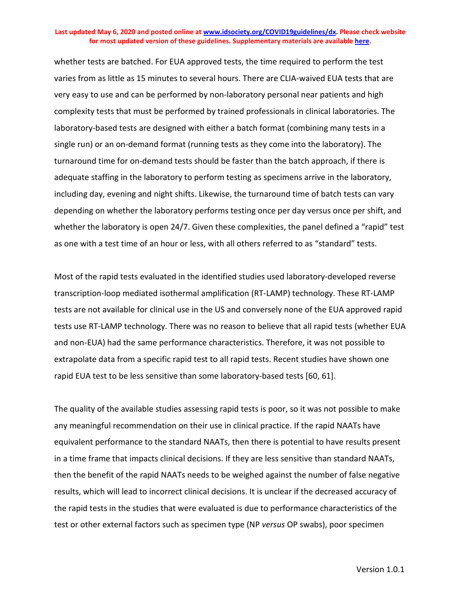whether tests are batched. For EUA approved tests, the time required to perform the test varies from as little as 15 minutes to several hours. There are CLIA-waived EUA tests that are very easy to use and can be performed by non-laboratory personal near patients and high complexity tests that must be performed by trained professionals in clinical laboratories. The laboratory-based tests are designed with either a batch format (combining many tests in a single run) or an on-demand format (running tests as they come into the laboratory). The turnaround time for on-demand tests should be faster than the batch approach, if there is adequate staffing in the laboratory to perform testing as specimens arrive in the laboratory, including day, evening and night shifts. Likewise, the turnaround time of batch tests can vary depending on whether the laboratory performs testing once per day versus once per shift, and whether the laboratory is open 24/7. Given these complexities, the panel defined a "rapid" test as one with a test time of an hour or less, with all others referred to as "standard" tests.

Most of the rapid tests evaluated in the identified studies used laboratory-developed reverse transcription-loop mediated isothermal amplification (RT-LAMP) technology. These RT-LAMP tests are not available for clinical use in the US and conversely none of the EUA approved rapid tests use RT-LAMP technology. There was no reason to believe that all rapid tests (whether EUA and non-EUA) had the same performance characteristics. Therefore, it was not possible to extrapolate data from a specific rapid test to all rapid tests. Recent studies have shown one rapid EUA test to be less sensitive than some laboratory-based tests [60, 61].

The quality of the available studies assessing rapid tests is poor, so it was not possible to make any meaningful recommendation on their use in clinical practice. If the rapid NAATs have equivalent performance to the standard NAATs, then there is potential to have results present in a time frame that impacts clinical decisions. If they are less sensitive than standard NAATs, then the benefit of the rapid NAATs needs to be weighed against the number of false negative results, which will lead to incorrect clinical decisions. It is unclear if the decreased accuracy of the rapid tests in the studies that were evaluated is due to performance characteristics of the test or other external factors such as specimen type (NP *versus* OP swabs), poor specimen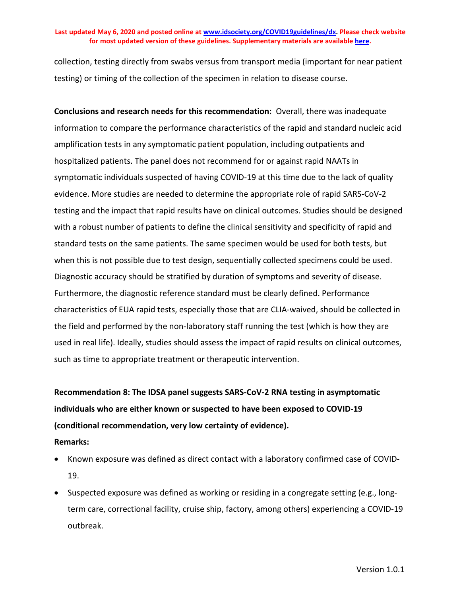collection, testing directly from swabs versus from transport media (important for near patient testing) or timing of the collection of the specimen in relation to disease course.

**Conclusions and research needs for this recommendation:** Overall, there was inadequate information to compare the performance characteristics of the rapid and standard nucleic acid amplification tests in any symptomatic patient population, including outpatients and hospitalized patients. The panel does not recommend for or against rapid NAATs in symptomatic individuals suspected of having COVID-19 at this time due to the lack of quality evidence. More studies are needed to determine the appropriate role of rapid SARS-CoV-2 testing and the impact that rapid results have on clinical outcomes. Studies should be designed with a robust number of patients to define the clinical sensitivity and specificity of rapid and standard tests on the same patients. The same specimen would be used for both tests, but when this is not possible due to test design, sequentially collected specimens could be used. Diagnostic accuracy should be stratified by duration of symptoms and severity of disease. Furthermore, the diagnostic reference standard must be clearly defined. Performance characteristics of EUA rapid tests, especially those that are CLIA-waived, should be collected in the field and performed by the non-laboratory staff running the test (which is how they are used in real life). Ideally, studies should assess the impact of rapid results on clinical outcomes, such as time to appropriate treatment or therapeutic intervention.

## **Recommendation 8: The IDSA panel suggests SARS-CoV-2 RNA testing in asymptomatic individuals who are either known or suspected to have been exposed to COVID-19 (conditional recommendation, very low certainty of evidence). Remarks:**

- Known exposure was defined as direct contact with a laboratory confirmed case of COVID-19.
- Suspected exposure was defined as working or residing in a congregate setting (e.g., longterm care, correctional facility, cruise ship, factory, among others) experiencing a COVID-19 outbreak.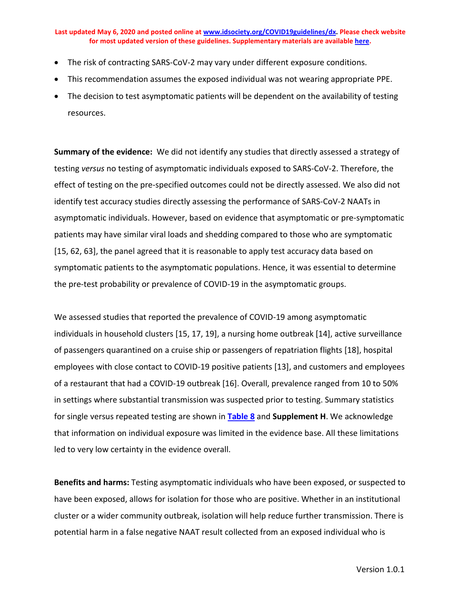- The risk of contracting SARS-CoV-2 may vary under different exposure conditions.
- This recommendation assumes the exposed individual was not wearing appropriate PPE.
- The decision to test asymptomatic patients will be dependent on the availability of testing resources.

**Summary of the evidence:** We did not identify any studies that directly assessed a strategy of testing *versus* no testing of asymptomatic individuals exposed to SARS-CoV-2. Therefore, the effect of testing on the pre-specified outcomes could not be directly assessed. We also did not identify test accuracy studies directly assessing the performance of SARS-CoV-2 NAATs in asymptomatic individuals. However, based on evidence that asymptomatic or pre-symptomatic patients may have similar viral loads and shedding compared to those who are symptomatic [15, 62, 63], the panel agreed that it is reasonable to apply test accuracy data based on symptomatic patients to the asymptomatic populations. Hence, it was essential to determine the pre-test probability or prevalence of COVID-19 in the asymptomatic groups.

We assessed studies that reported the prevalence of COVID-19 among asymptomatic individuals in household clusters [15, 17, 19], a nursing home outbreak [14], active surveillance of passengers quarantined on a cruise ship or passengers of repatriation flights [18], hospital employees with close contact to COVID-19 positive patients [13], and customers and employees of a restaurant that had a COVID-19 outbreak [16]. Overall, prevalence ranged from 10 to 50% in settings where substantial transmission was suspected prior to testing. Summary statistics for single versus repeated testing are shown in **[Table 8](#page-46-0)** and **Supplement H**. We acknowledge that information on individual exposure was limited in the evidence base. All these limitations led to very low certainty in the evidence overall.

**Benefits and harms:** Testing asymptomatic individuals who have been exposed, or suspected to have been exposed, allows for isolation for those who are positive. Whether in an institutional cluster or a wider community outbreak, isolation will help reduce further transmission. There is potential harm in a false negative NAAT result collected from an exposed individual who is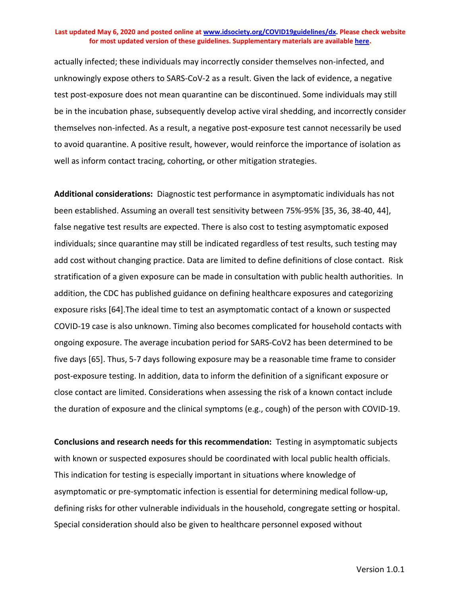actually infected; these individuals may incorrectly consider themselves non-infected, and unknowingly expose others to SARS-CoV-2 as a result. Given the lack of evidence, a negative test post-exposure does not mean quarantine can be discontinued. Some individuals may still be in the incubation phase, subsequently develop active viral shedding, and incorrectly consider themselves non-infected. As a result, a negative post-exposure test cannot necessarily be used to avoid quarantine. A positive result, however, would reinforce the importance of isolation as well as inform contact tracing, cohorting, or other mitigation strategies.

**Additional considerations:** Diagnostic test performance in asymptomatic individuals has not been established. Assuming an overall test sensitivity between 75%-95% [35, 36, 38-40, 44], false negative test results are expected. There is also cost to testing asymptomatic exposed individuals; since quarantine may still be indicated regardless of test results, such testing may add cost without changing practice. Data are limited to define definitions of close contact. Risk stratification of a given exposure can be made in consultation with public health authorities. In addition, the CDC has published guidance on defining healthcare exposures and categorizing exposure risks [64].The ideal time to test an asymptomatic contact of a known or suspected COVID-19 case is also unknown. Timing also becomes complicated for household contacts with ongoing exposure. The average incubation period for SARS-CoV2 has been determined to be five days [65]. Thus, 5-7 days following exposure may be a reasonable time frame to consider post-exposure testing. In addition, data to inform the definition of a significant exposure or close contact are limited. Considerations when assessing the risk of a known contact include the duration of exposure and the clinical symptoms (e.g., cough) of the person with COVID-19.

**Conclusions and research needs for this recommendation:** Testing in asymptomatic subjects with known or suspected exposures should be coordinated with local public health officials. This indication for testing is especially important in situations where knowledge of asymptomatic or pre-symptomatic infection is essential for determining medical follow-up, defining risks for other vulnerable individuals in the household, congregate setting or hospital. Special consideration should also be given to healthcare personnel exposed without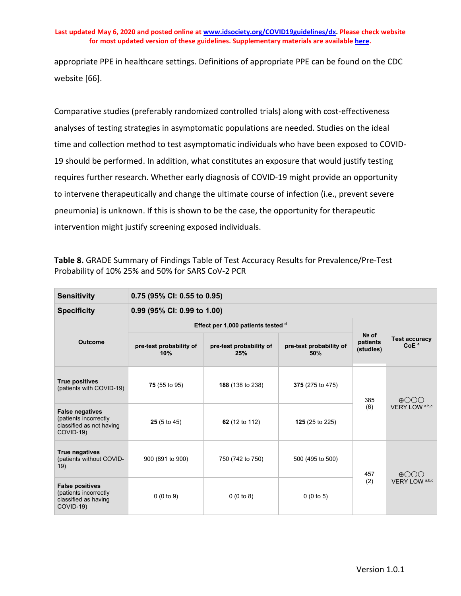appropriate PPE in healthcare settings. Definitions of appropriate PPE can be found on the CDC website [66].

Comparative studies (preferably randomized controlled trials) along with cost-effectiveness analyses of testing strategies in asymptomatic populations are needed. Studies on the ideal time and collection method to test asymptomatic individuals who have been exposed to COVID-19 should be performed. In addition, what constitutes an exposure that would justify testing requires further research. Whether early diagnosis of COVID-19 might provide an opportunity to intervene therapeutically and change the ultimate course of infection (i.e., prevent severe pneumonia) is unknown. If this is shown to be the case, the opportunity for therapeutic intervention might justify screening exposed individuals.

<span id="page-46-0"></span>**Table 8.** GRADE Summary of Findings Table of Test Accuracy Results for Prevalence/Pre-Test Probability of 10% 25% and 50% for SARS CoV-2 PCR

| <b>Sensitivity</b>                                                                       | 0.75 (95% CI: 0.55 to 0.95)    |                                    |                                |                                  |                                          |  |  |
|------------------------------------------------------------------------------------------|--------------------------------|------------------------------------|--------------------------------|----------------------------------|------------------------------------------|--|--|
| <b>Specificity</b>                                                                       |                                | 0.99 (95% CI: 0.99 to 1.00)        |                                |                                  |                                          |  |  |
|                                                                                          |                                | Effect per 1,000 patients tested d |                                |                                  | <b>Test accuracy</b><br>CoE <sup>e</sup> |  |  |
| <b>Outcome</b>                                                                           | pre-test probability of<br>10% | pre-test probability of<br>25%     | pre-test probability of<br>50% | $Ne$ of<br>patients<br>(studies) |                                          |  |  |
| <b>True positives</b><br>(patients with COVID-19)                                        | 75 (55 to 95)                  | 188 (138 to 238)                   | 375 (275 to 475)               | 385                              | $\oplus$ OOO<br>VERY LOW a.b,c           |  |  |
| <b>False negatives</b><br>(patients incorrectly<br>classified as not having<br>COVID-19) | $25(5 \text{ to } 45)$         | 62 (12 to 112)                     | 125 (25 to 225)                | (6)                              |                                          |  |  |
| True negatives<br>(patients without COVID-<br>19)                                        | 900 (891 to 900)               | 750 (742 to 750)                   | 500 (495 to 500)               | 457                              | $\oplus$ OOO                             |  |  |
| <b>False positives</b><br>(patients incorrectly<br>classified as having<br>COVID-19)     | 0(0 to 9)                      | 0(0 to 8)                          | 0(0 to 5)                      | (2)                              | VERY LOW <sup>a,b,c</sup>                |  |  |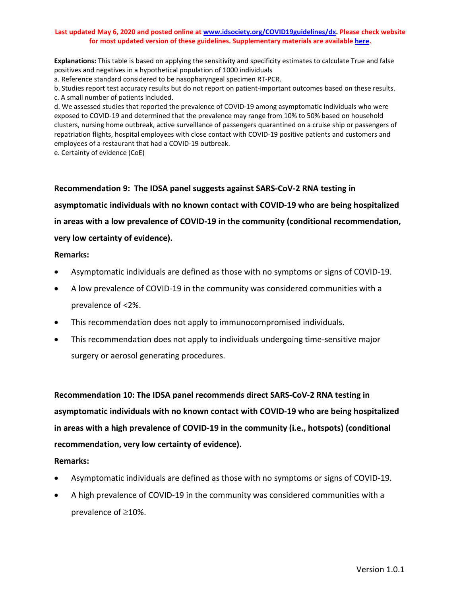**Explanations:** This table is based on applying the sensitivity and specificity estimates to calculate True and false positives and negatives in a hypothetical population of 1000 individuals

a. Reference standard considered to be nasopharyngeal specimen RT-PCR.

b. Studies report test accuracy results but do not report on patient-important outcomes based on these results. c. A small number of patients included.

d. We assessed studies that reported the prevalence of COVID-19 among asymptomatic individuals who were exposed to COVID-19 and determined that the prevalence may range from 10% to 50% based on household clusters, nursing home outbreak, active surveillance of passengers quarantined on a cruise ship or passengers of repatriation flights, hospital employees with close contact with COVID-19 positive patients and customers and employees of a restaurant that had a COVID-19 outbreak.

e. Certainty of evidence (CoE)

**Recommendation 9: The IDSA panel suggests against SARS-CoV-2 RNA testing in** 

**asymptomatic individuals with no known contact with COVID-19 who are being hospitalized** 

**in areas with a low prevalence of COVID-19 in the community (conditional recommendation,**

### **very low certainty of evidence).**

#### **Remarks:**

- Asymptomatic individuals are defined as those with no symptoms or signs of COVID-19.
- A low prevalence of COVID-19 in the community was considered communities with a prevalence of <2%.
- This recommendation does not apply to immunocompromised individuals.
- This recommendation does not apply to individuals undergoing time-sensitive major surgery or aerosol generating procedures.

**Recommendation 10: The IDSA panel recommends direct SARS-CoV-2 RNA testing in asymptomatic individuals with no known contact with COVID-19 who are being hospitalized in areas with a high prevalence of COVID-19 in the community (i.e., hotspots) (conditional recommendation, very low certainty of evidence).**

### **Remarks:**

- Asymptomatic individuals are defined as those with no symptoms or signs of COVID-19.
- A high prevalence of COVID-19 in the community was considered communities with a prevalence of ≥10%.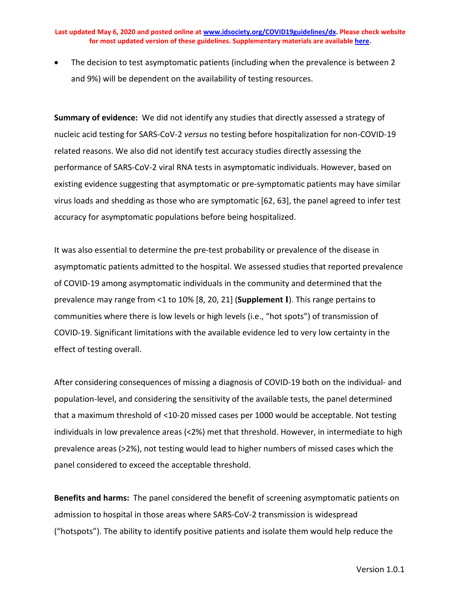The decision to test asymptomatic patients (including when the prevalence is between 2 and 9%) will be dependent on the availability of testing resources.

**Summary of evidence:** We did not identify any studies that directly assessed a strategy of nucleic acid testing for SARS-CoV-2 *versus* no testing before hospitalization for non-COVID-19 related reasons. We also did not identify test accuracy studies directly assessing the performance of SARS-CoV-2 viral RNA tests in asymptomatic individuals. However, based on existing evidence suggesting that asymptomatic or pre-symptomatic patients may have similar virus loads and shedding as those who are symptomatic [62, 63], the panel agreed to infer test accuracy for asymptomatic populations before being hospitalized.

It was also essential to determine the pre-test probability or prevalence of the disease in asymptomatic patients admitted to the hospital. We assessed studies that reported prevalence of COVID-19 among asymptomatic individuals in the community and determined that the prevalence may range from <1 to 10% [8, 20, 21] (**Supplement I**). This range pertains to communities where there is low levels or high levels (i.e., "hot spots") of transmission of COVID-19. Significant limitations with the available evidence led to very low certainty in the effect of testing overall.

After considering consequences of missing a diagnosis of COVID-19 both on the individual- and population-level, and considering the sensitivity of the available tests, the panel determined that a maximum threshold of <10-20 missed cases per 1000 would be acceptable. Not testing individuals in low prevalence areas (<2%) met that threshold. However, in intermediate to high prevalence areas (>2%), not testing would lead to higher numbers of missed cases which the panel considered to exceed the acceptable threshold.

**Benefits and harms:** The panel considered the benefit of screening asymptomatic patients on admission to hospital in those areas where SARS-CoV-2 transmission is widespread ("hotspots"). The ability to identify positive patients and isolate them would help reduce the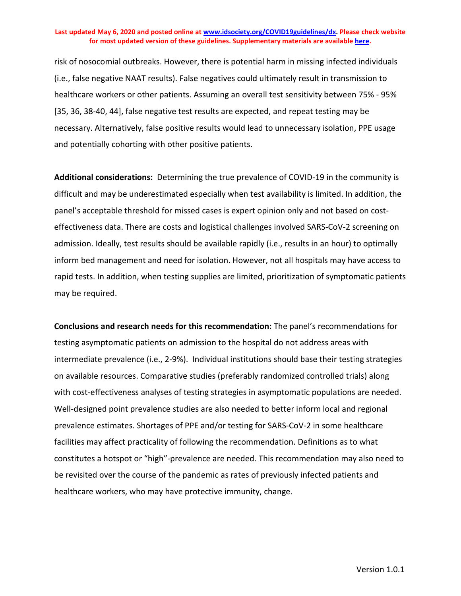risk of nosocomial outbreaks. However, there is potential harm in missing infected individuals (i.e., false negative NAAT results). False negatives could ultimately result in transmission to healthcare workers or other patients. Assuming an overall test sensitivity between 75% - 95% [35, 36, 38-40, 44], false negative test results are expected, and repeat testing may be necessary. Alternatively, false positive results would lead to unnecessary isolation, PPE usage and potentially cohorting with other positive patients.

**Additional considerations:** Determining the true prevalence of COVID-19 in the community is difficult and may be underestimated especially when test availability is limited. In addition, the panel's acceptable threshold for missed cases is expert opinion only and not based on costeffectiveness data. There are costs and logistical challenges involved SARS-CoV-2 screening on admission. Ideally, test results should be available rapidly (i.e., results in an hour) to optimally inform bed management and need for isolation. However, not all hospitals may have access to rapid tests. In addition, when testing supplies are limited, prioritization of symptomatic patients may be required.

**Conclusions and research needs for this recommendation:** The panel's recommendations for testing asymptomatic patients on admission to the hospital do not address areas with intermediate prevalence (i.e., 2-9%). Individual institutions should base their testing strategies on available resources. Comparative studies (preferably randomized controlled trials) along with cost-effectiveness analyses of testing strategies in asymptomatic populations are needed. Well-designed point prevalence studies are also needed to better inform local and regional prevalence estimates. Shortages of PPE and/or testing for SARS-CoV-2 in some healthcare facilities may affect practicality of following the recommendation. Definitions as to what constitutes a hotspot or "high"-prevalence are needed. This recommendation may also need to be revisited over the course of the pandemic as rates of previously infected patients and healthcare workers, who may have protective immunity, change.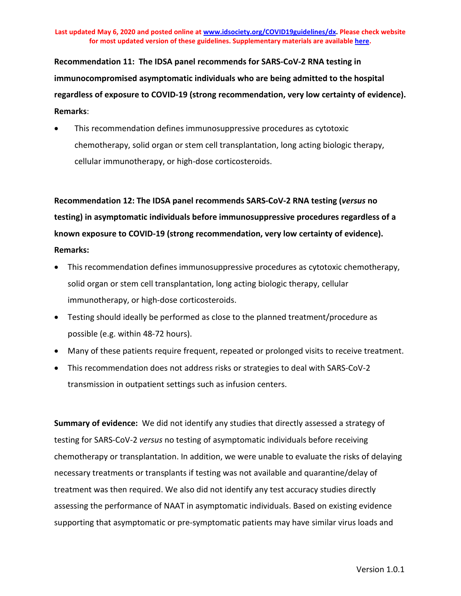**Recommendation 11: The IDSA panel recommends for SARS-CoV-2 RNA testing in immunocompromised asymptomatic individuals who are being admitted to the hospital regardless of exposure to COVID-19 (strong recommendation, very low certainty of evidence). Remarks**:

• This recommendation defines immunosuppressive procedures as cytotoxic chemotherapy, solid organ or stem cell transplantation, long acting biologic therapy, cellular immunotherapy, or high-dose corticosteroids.

**Recommendation 12: The IDSA panel recommends SARS-CoV-2 RNA testing (***versus* **no testing) in asymptomatic individuals before immunosuppressive procedures regardless of a known exposure to COVID-19 (strong recommendation, very low certainty of evidence). Remarks:** 

- This recommendation defines immunosuppressive procedures as cytotoxic chemotherapy, solid organ or stem cell transplantation, long acting biologic therapy, cellular immunotherapy, or high-dose corticosteroids.
- Testing should ideally be performed as close to the planned treatment/procedure as possible (e.g. within 48-72 hours).
- Many of these patients require frequent, repeated or prolonged visits to receive treatment.
- This recommendation does not address risks or strategies to deal with SARS-CoV-2 transmission in outpatient settings such as infusion centers.

**Summary of evidence:** We did not identify any studies that directly assessed a strategy of testing for SARS-CoV-2 *versus* no testing of asymptomatic individuals before receiving chemotherapy or transplantation. In addition, we were unable to evaluate the risks of delaying necessary treatments or transplants if testing was not available and quarantine/delay of treatment was then required. We also did not identify any test accuracy studies directly assessing the performance of NAAT in asymptomatic individuals. Based on existing evidence supporting that asymptomatic or pre-symptomatic patients may have similar virus loads and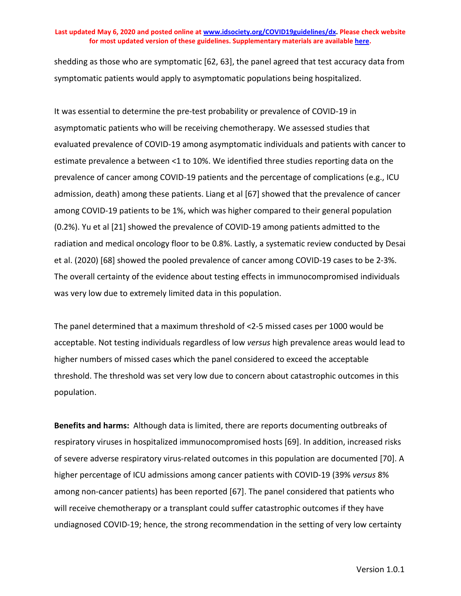shedding as those who are symptomatic [62, 63], the panel agreed that test accuracy data from symptomatic patients would apply to asymptomatic populations being hospitalized.

It was essential to determine the pre-test probability or prevalence of COVID-19 in asymptomatic patients who will be receiving chemotherapy. We assessed studies that evaluated prevalence of COVID-19 among asymptomatic individuals and patients with cancer to estimate prevalence a between <1 to 10%. We identified three studies reporting data on the prevalence of cancer among COVID-19 patients and the percentage of complications (e.g., ICU admission, death) among these patients. Liang et al [67] showed that the prevalence of cancer among COVID-19 patients to be 1%, which was higher compared to their general population (0.2%). Yu et al [21] showed the prevalence of COVID-19 among patients admitted to the radiation and medical oncology floor to be 0.8%. Lastly, a systematic review conducted by Desai et al. (2020) [68] showed the pooled prevalence of cancer among COVID-19 cases to be 2-3%. The overall certainty of the evidence about testing effects in immunocompromised individuals was very low due to extremely limited data in this population.

The panel determined that a maximum threshold of <2-5 missed cases per 1000 would be acceptable. Not testing individuals regardless of low *versus* high prevalence areas would lead to higher numbers of missed cases which the panel considered to exceed the acceptable threshold. The threshold was set very low due to concern about catastrophic outcomes in this population.

**Benefits and harms:** Although data is limited, there are reports documenting outbreaks of respiratory viruses in hospitalized immunocompromised hosts [69]. In addition, increased risks of severe adverse respiratory virus-related outcomes in this population are documented [70]. A higher percentage of ICU admissions among cancer patients with COVID-19 (39% *versus* 8% among non-cancer patients) has been reported [67]. The panel considered that patients who will receive chemotherapy or a transplant could suffer catastrophic outcomes if they have undiagnosed COVID-19; hence, the strong recommendation in the setting of very low certainty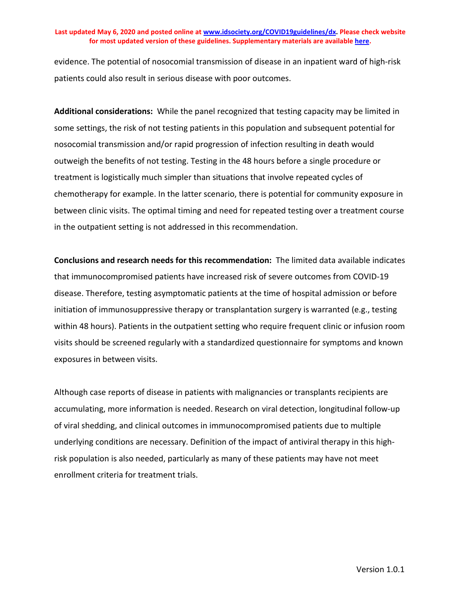evidence. The potential of nosocomial transmission of disease in an inpatient ward of high-risk patients could also result in serious disease with poor outcomes.

**Additional considerations:** While the panel recognized that testing capacity may be limited in some settings, the risk of not testing patients in this population and subsequent potential for nosocomial transmission and/or rapid progression of infection resulting in death would outweigh the benefits of not testing. Testing in the 48 hours before a single procedure or treatment is logistically much simpler than situations that involve repeated cycles of chemotherapy for example. In the latter scenario, there is potential for community exposure in between clinic visits. The optimal timing and need for repeated testing over a treatment course in the outpatient setting is not addressed in this recommendation.

**Conclusions and research needs for this recommendation:** The limited data available indicates that immunocompromised patients have increased risk of severe outcomes from COVID-19 disease. Therefore, testing asymptomatic patients at the time of hospital admission or before initiation of immunosuppressive therapy or transplantation surgery is warranted (e.g., testing within 48 hours). Patients in the outpatient setting who require frequent clinic or infusion room visits should be screened regularly with a standardized questionnaire for symptoms and known exposures in between visits.

Although case reports of disease in patients with malignancies or transplants recipients are accumulating, more information is needed. Research on viral detection, longitudinal follow-up of viral shedding, and clinical outcomes in immunocompromised patients due to multiple underlying conditions are necessary. Definition of the impact of antiviral therapy in this highrisk population is also needed, particularly as many of these patients may have not meet enrollment criteria for treatment trials.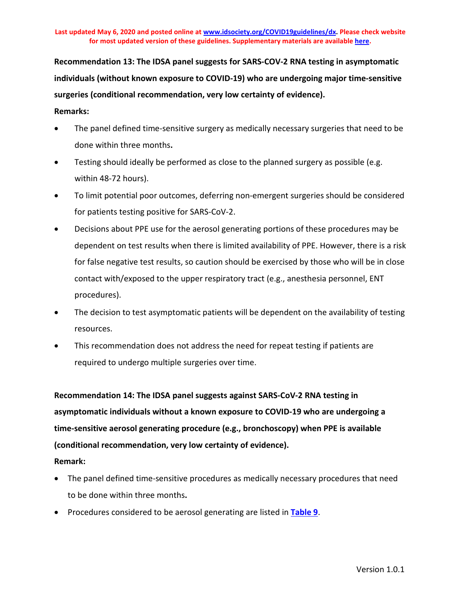**Recommendation 13: The IDSA panel suggests for SARS-COV-2 RNA testing in asymptomatic individuals (without known exposure to COVID-19) who are undergoing major time-sensitive surgeries (conditional recommendation, very low certainty of evidence).**

### **Remarks:**

- The panel defined time-sensitive surgery as medically necessary surgeries that need to be done within three months**.**
- Testing should ideally be performed as close to the planned surgery as possible (e.g. within 48-72 hours).
- To limit potential poor outcomes, deferring non-emergent surgeries should be considered for patients testing positive for SARS-CoV-2.
- Decisions about PPE use for the aerosol generating portions of these procedures may be dependent on test results when there is limited availability of PPE. However, there is a risk for false negative test results, so caution should be exercised by those who will be in close contact with/exposed to the upper respiratory tract (e.g., anesthesia personnel, ENT procedures).
- The decision to test asymptomatic patients will be dependent on the availability of testing resources.
- This recommendation does not address the need for repeat testing if patients are required to undergo multiple surgeries over time.

**Recommendation 14: The IDSA panel suggests against SARS-CoV-2 RNA testing in asymptomatic individuals without a known exposure to COVID-19 who are undergoing a time-sensitive aerosol generating procedure (e.g., bronchoscopy) when PPE is available (conditional recommendation, very low certainty of evidence).**

## **Remark:**

- The panel defined time-sensitive procedures as medically necessary procedures that need to be done within three months**.**
- Procedures considered to be aerosol generating are listed in **[Table 9](#page-57-0)**.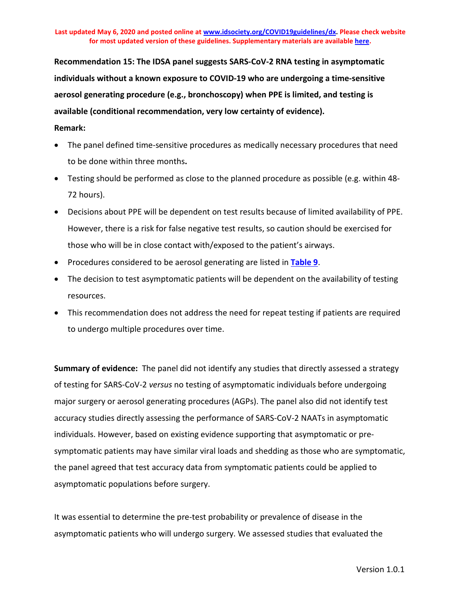**Recommendation 15: The IDSA panel suggests SARS-CoV-2 RNA testing in asymptomatic individuals without a known exposure to COVID-19 who are undergoing a time-sensitive aerosol generating procedure (e.g., bronchoscopy) when PPE is limited, and testing is available (conditional recommendation, very low certainty of evidence).**

### **Remark:**

- The panel defined time-sensitive procedures as medically necessary procedures that need to be done within three months**.**
- Testing should be performed as close to the planned procedure as possible (e.g. within 48- 72 hours).
- Decisions about PPE will be dependent on test results because of limited availability of PPE. However, there is a risk for false negative test results, so caution should be exercised for those who will be in close contact with/exposed to the patient's airways.
- Procedures considered to be aerosol generating are listed in **[Table 9](#page-57-0)**.
- The decision to test asymptomatic patients will be dependent on the availability of testing resources.
- This recommendation does not address the need for repeat testing if patients are required to undergo multiple procedures over time.

**Summary of evidence:** The panel did not identify any studies that directly assessed a strategy of testing for SARS-CoV-2 *versus* no testing of asymptomatic individuals before undergoing major surgery or aerosol generating procedures (AGPs). The panel also did not identify test accuracy studies directly assessing the performance of SARS-CoV-2 NAATs in asymptomatic individuals. However, based on existing evidence supporting that asymptomatic or presymptomatic patients may have similar viral loads and shedding as those who are symptomatic, the panel agreed that test accuracy data from symptomatic patients could be applied to asymptomatic populations before surgery.

It was essential to determine the pre-test probability or prevalence of disease in the asymptomatic patients who will undergo surgery. We assessed studies that evaluated the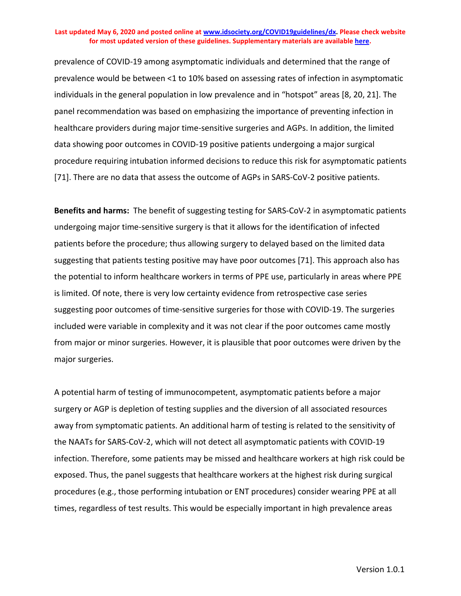prevalence of COVID-19 among asymptomatic individuals and determined that the range of prevalence would be between <1 to 10% based on assessing rates of infection in asymptomatic individuals in the general population in low prevalence and in "hotspot" areas [8, 20, 21]. The panel recommendation was based on emphasizing the importance of preventing infection in healthcare providers during major time-sensitive surgeries and AGPs. In addition, the limited data showing poor outcomes in COVID-19 positive patients undergoing a major surgical procedure requiring intubation informed decisions to reduce this risk for asymptomatic patients [71]. There are no data that assess the outcome of AGPs in SARS-CoV-2 positive patients.

**Benefits and harms:** The benefit of suggesting testing for SARS-CoV-2 in asymptomatic patients undergoing major time-sensitive surgery is that it allows for the identification of infected patients before the procedure; thus allowing surgery to delayed based on the limited data suggesting that patients testing positive may have poor outcomes [71]. This approach also has the potential to inform healthcare workers in terms of PPE use, particularly in areas where PPE is limited. Of note, there is very low certainty evidence from retrospective case series suggesting poor outcomes of time-sensitive surgeries for those with COVID-19. The surgeries included were variable in complexity and it was not clear if the poor outcomes came mostly from major or minor surgeries. However, it is plausible that poor outcomes were driven by the major surgeries.

A potential harm of testing of immunocompetent, asymptomatic patients before a major surgery or AGP is depletion of testing supplies and the diversion of all associated resources away from symptomatic patients. An additional harm of testing is related to the sensitivity of the NAATs for SARS-CoV-2, which will not detect all asymptomatic patients with COVID-19 infection. Therefore, some patients may be missed and healthcare workers at high risk could be exposed. Thus, the panel suggests that healthcare workers at the highest risk during surgical procedures (e.g., those performing intubation or ENT procedures) consider wearing PPE at all times, regardless of test results. This would be especially important in high prevalence areas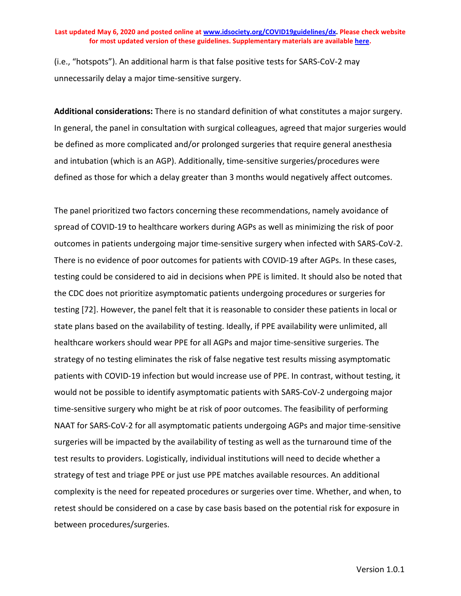(i.e., "hotspots"). An additional harm is that false positive tests for SARS-CoV-2 may unnecessarily delay a major time-sensitive surgery.

**Additional considerations:** There is no standard definition of what constitutes a major surgery. In general, the panel in consultation with surgical colleagues, agreed that major surgeries would be defined as more complicated and/or prolonged surgeries that require general anesthesia and intubation (which is an AGP). Additionally, time-sensitive surgeries/procedures were defined as those for which a delay greater than 3 months would negatively affect outcomes.

The panel prioritized two factors concerning these recommendations, namely avoidance of spread of COVID-19 to healthcare workers during AGPs as well as minimizing the risk of poor outcomes in patients undergoing major time-sensitive surgery when infected with SARS-CoV-2. There is no evidence of poor outcomes for patients with COVID-19 after AGPs. In these cases, testing could be considered to aid in decisions when PPE is limited. It should also be noted that the CDC does not prioritize asymptomatic patients undergoing procedures or surgeries for testing [72]. However, the panel felt that it is reasonable to consider these patients in local or state plans based on the availability of testing. Ideally, if PPE availability were unlimited, all healthcare workers should wear PPE for all AGPs and major time-sensitive surgeries. The strategy of no testing eliminates the risk of false negative test results missing asymptomatic patients with COVID-19 infection but would increase use of PPE. In contrast, without testing, it would not be possible to identify asymptomatic patients with SARS-CoV-2 undergoing major time-sensitive surgery who might be at risk of poor outcomes. The feasibility of performing NAAT for SARS-CoV-2 for all asymptomatic patients undergoing AGPs and major time-sensitive surgeries will be impacted by the availability of testing as well as the turnaround time of the test results to providers. Logistically, individual institutions will need to decide whether a strategy of test and triage PPE or just use PPE matches available resources. An additional complexity is the need for repeated procedures or surgeries over time. Whether, and when, to retest should be considered on a case by case basis based on the potential risk for exposure in between procedures/surgeries.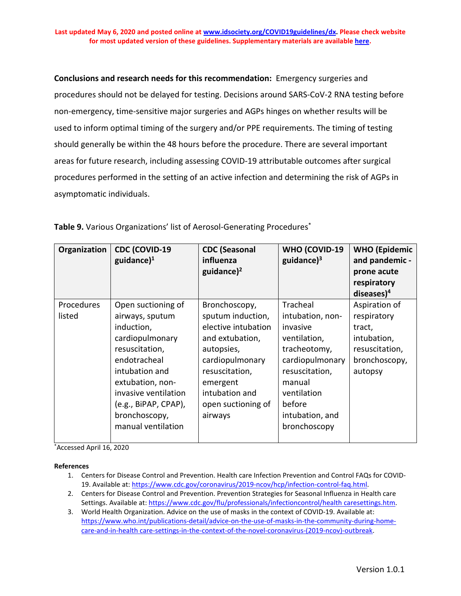**Conclusions and research needs for this recommendation:** Emergency surgeries and procedures should not be delayed for testing. Decisions around SARS-CoV-2 RNA testing before non-emergency, time-sensitive major surgeries and AGPs hinges on whether results will be used to inform optimal timing of the surgery and/or PPE requirements. The timing of testing should generally be within the 48 hours before the procedure. There are several important areas for future research, including assessing COVID-19 attributable outcomes after surgical procedures performed in the setting of an active infection and determining the risk of AGPs in asymptomatic individuals.

| Organization | <b>CDC (COVID-19</b><br>guidance $)^1$ | <b>CDC</b> (Seasonal<br>influenza<br>guidance $)^2$ | WHO (COVID-19<br>guidance $)^3$ | <b>WHO</b> (Epidemic<br>and pandemic -<br>prone acute<br>respiratory<br>diseases $)^4$ |
|--------------|----------------------------------------|-----------------------------------------------------|---------------------------------|----------------------------------------------------------------------------------------|
| Procedures   | Open suctioning of                     | Bronchoscopy,                                       | Tracheal                        | Aspiration of                                                                          |
| listed       | airways, sputum                        | sputum induction,                                   | intubation, non-                | respiratory                                                                            |
|              | induction,                             | elective intubation                                 | invasive                        | tract,                                                                                 |
|              | cardiopulmonary                        | and extubation,                                     | ventilation,                    | intubation,                                                                            |
|              | resuscitation,                         | autopsies,                                          | tracheotomy,                    | resuscitation,                                                                         |
|              | endotracheal                           | cardiopulmonary                                     | cardiopulmonary                 | bronchoscopy,                                                                          |
|              | intubation and                         | resuscitation,                                      | resuscitation,                  | autopsy                                                                                |
|              | extubation, non-                       | emergent                                            | manual                          |                                                                                        |
|              | invasive ventilation                   | intubation and                                      | ventilation                     |                                                                                        |
|              | (e.g., BiPAP, CPAP),                   | open suctioning of                                  | before                          |                                                                                        |
|              | bronchoscopy,                          | airways                                             | intubation, and                 |                                                                                        |
|              | manual ventilation                     |                                                     | bronchoscopy                    |                                                                                        |

<span id="page-57-0"></span>**Table 9.** Various Organizations' list of Aerosol-Generating Procedures\*

\* Accessed April 16, 2020

**References**

- 1. Centers for Disease Control and Prevention. Health care Infection Prevention and Control FAQs for COVID-19. Available at: [https://www.cdc.gov/coronavirus/2019-ncov/hcp/infection-control-faq.html.](https://www.cdc.gov/coronavirus/2019-ncov/hcp/infection-control-faq.html)
- 2. Centers for Disease Control and Prevention. Prevention Strategies for Seasonal Influenza in Health care Settings. Available at[: https://www.cdc.gov/flu/professionals/infectioncontrol/health caresettings.htm.](https://www.cdc.gov/flu/professionals/infectioncontrol/healthcaresettings.htm)
- 3. World Health Organization. Advice on the use of masks in the context of COVID-19. Available at: [https://www.who.int/publications-detail/advice-on-the-use-of-masks-in-the-community-during-home](https://www.who.int/publications-detail/advice-on-the-use-of-masks-in-the-community-during-home-care-and-in-healthcare-settings-in-the-context-of-the-novel-coronavirus-(2019-ncov)-outbreak)[care-and-in-health care-settings-in-the-context-of-the-novel-coronavirus-\(2019-ncov\)-outbreak.](https://www.who.int/publications-detail/advice-on-the-use-of-masks-in-the-community-during-home-care-and-in-healthcare-settings-in-the-context-of-the-novel-coronavirus-(2019-ncov)-outbreak)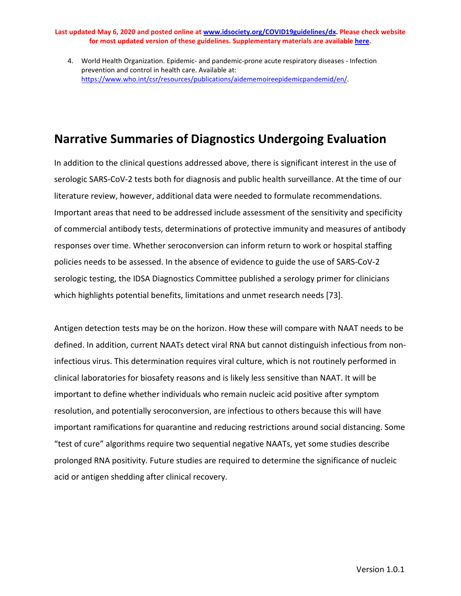4. World Health Organization. Epidemic- and pandemic-prone acute respiratory diseases - Infection prevention and control in health care. Available at: [https://www.who.int/csr/resources/publications/aidememoireepidemicpandemid/en/.](https://www.who.int/csr/resources/publications/aidememoireepidemicpandemid/en/)

## **Narrative Summaries of Diagnostics Undergoing Evaluation**

In addition to the clinical questions addressed above, there is significant interest in the use of serologic SARS-CoV-2 tests both for diagnosis and public health surveillance. At the time of our literature review, however, additional data were needed to formulate recommendations. Important areas that need to be addressed include assessment of the sensitivity and specificity of commercial antibody tests, determinations of protective immunity and measures of antibody responses over time. Whether seroconversion can inform return to work or hospital staffing policies needs to be assessed. In the absence of evidence to guide the use of SARS-CoV-2 serologic testing, the IDSA Diagnostics Committee published a serology primer for clinicians which highlights potential benefits, limitations and unmet research needs [73].

Antigen detection tests may be on the horizon. How these will compare with NAAT needs to be defined. In addition, current NAATs detect viral RNA but cannot distinguish infectious from noninfectious virus. This determination requires viral culture, which is not routinely performed in clinical laboratories for biosafety reasons and is likely less sensitive than NAAT. It will be important to define whether individuals who remain nucleic acid positive after symptom resolution, and potentially seroconversion, are infectious to others because this will have important ramifications for quarantine and reducing restrictions around social distancing. Some "test of cure" algorithms require two sequential negative NAATs, yet some studies describe prolonged RNA positivity. Future studies are required to determine the significance of nucleic acid or antigen shedding after clinical recovery.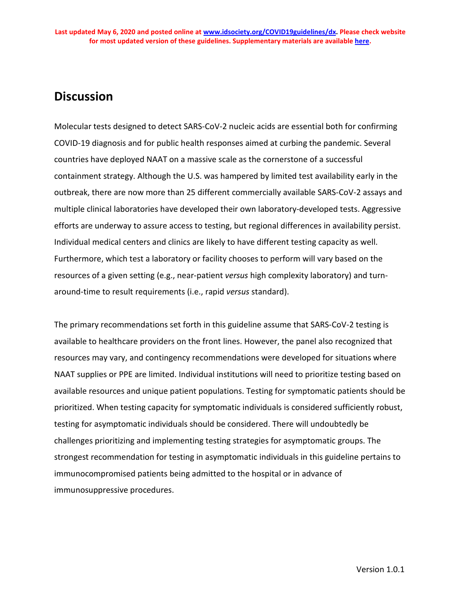## **Discussion**

Molecular tests designed to detect SARS-CoV-2 nucleic acids are essential both for confirming COVID-19 diagnosis and for public health responses aimed at curbing the pandemic. Several countries have deployed NAAT on a massive scale as the cornerstone of a successful containment strategy. Although the U.S. was hampered by limited test availability early in the outbreak, there are now more than 25 different commercially available SARS-CoV-2 assays and multiple clinical laboratories have developed their own laboratory-developed tests. Aggressive efforts are underway to assure access to testing, but regional differences in availability persist. Individual medical centers and clinics are likely to have different testing capacity as well. Furthermore, which test a laboratory or facility chooses to perform will vary based on the resources of a given setting (e.g., near-patient *versus* high complexity laboratory) and turnaround-time to result requirements (i.e., rapid *versus* standard).

The primary recommendations set forth in this guideline assume that SARS-CoV-2 testing is available to healthcare providers on the front lines. However, the panel also recognized that resources may vary, and contingency recommendations were developed for situations where NAAT supplies or PPE are limited. Individual institutions will need to prioritize testing based on available resources and unique patient populations. Testing for symptomatic patients should be prioritized. When testing capacity for symptomatic individuals is considered sufficiently robust, testing for asymptomatic individuals should be considered. There will undoubtedly be challenges prioritizing and implementing testing strategies for asymptomatic groups. The strongest recommendation for testing in asymptomatic individuals in this guideline pertains to immunocompromised patients being admitted to the hospital or in advance of immunosuppressive procedures.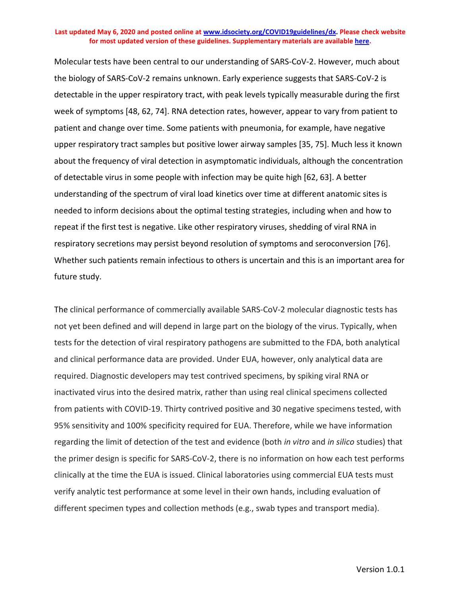Molecular tests have been central to our understanding of SARS-CoV-2. However, much about the biology of SARS-CoV-2 remains unknown. Early experience suggests that SARS-CoV-2 is detectable in the upper respiratory tract, with peak levels typically measurable during the first week of symptoms [48, 62, 74]. RNA detection rates, however, appear to vary from patient to patient and change over time. Some patients with pneumonia, for example, have negative upper respiratory tract samples but positive lower airway samples [35, 75]. Much less it known about the frequency of viral detection in asymptomatic individuals, although the concentration of detectable virus in some people with infection may be quite high [62, 63]. A better understanding of the spectrum of viral load kinetics over time at different anatomic sites is needed to inform decisions about the optimal testing strategies, including when and how to repeat if the first test is negative. Like other respiratory viruses, shedding of viral RNA in respiratory secretions may persist beyond resolution of symptoms and seroconversion [76]. Whether such patients remain infectious to others is uncertain and this is an important area for future study.

The clinical performance of commercially available SARS-CoV-2 molecular diagnostic tests has not yet been defined and will depend in large part on the biology of the virus. Typically, when tests for the detection of viral respiratory pathogens are submitted to the FDA, both analytical and clinical performance data are provided. Under EUA, however, only analytical data are required. Diagnostic developers may test contrived specimens, by spiking viral RNA or inactivated virus into the desired matrix, rather than using real clinical specimens collected from patients with COVID-19. Thirty contrived positive and 30 negative specimens tested, with 95% sensitivity and 100% specificity required for EUA. Therefore, while we have information regarding the limit of detection of the test and evidence (both *in vitro* and *in silico* studies) that the primer design is specific for SARS-CoV-2, there is no information on how each test performs clinically at the time the EUA is issued. Clinical laboratories using commercial EUA tests must verify analytic test performance at some level in their own hands, including evaluation of different specimen types and collection methods (e.g., swab types and transport media).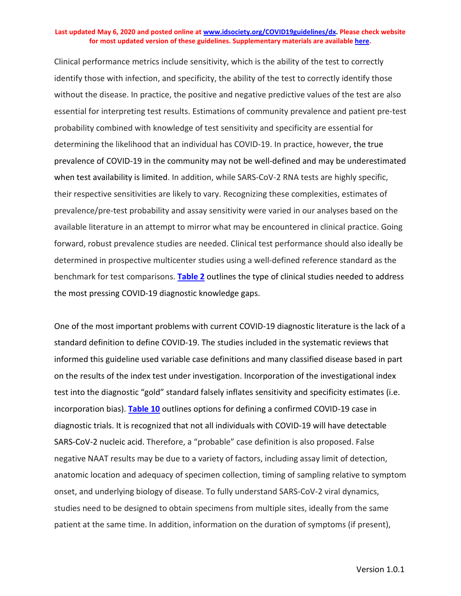Clinical performance metrics include sensitivity, which is the ability of the test to correctly identify those with infection, and specificity, the ability of the test to correctly identify those without the disease. In practice, the positive and negative predictive values of the test are also essential for interpreting test results. Estimations of community prevalence and patient pre-test probability combined with knowledge of test sensitivity and specificity are essential for determining the likelihood that an individual has COVID-19. In practice, however, the true prevalence of COVID-19 in the community may not be well-defined and may be underestimated when test availability is limited. In addition, while SARS-CoV-2 RNA tests are highly specific, their respective sensitivities are likely to vary. Recognizing these complexities, estimates of prevalence/pre-test probability and assay sensitivity were varied in our analyses based on the available literature in an attempt to mirror what may be encountered in clinical practice. Going forward, robust prevalence studies are needed. Clinical test performance should also ideally be determined in prospective multicenter studies using a well-defined reference standard as the benchmark for test comparisons. **[Table 2](#page-21-0)** outlines the type of clinical studies needed to address the most pressing COVID-19 diagnostic knowledge gaps.

One of the most important problems with current COVID-19 diagnostic literature is the lack of a standard definition to define COVID-19. The studies included in the systematic reviews that informed this guideline used variable case definitions and many classified disease based in part on the results of the index test under investigation. Incorporation of the investigational index test into the diagnostic "gold" standard falsely inflates sensitivity and specificity estimates (i.e. incorporation bias). **[Table 10](#page-62-0)** outlines options for defining a confirmed COVID-19 case in diagnostic trials. It is recognized that not all individuals with COVID-19 will have detectable SARS-CoV-2 nucleic acid. Therefore, a "probable" case definition is also proposed. False negative NAAT results may be due to a variety of factors, including assay limit of detection, anatomic location and adequacy of specimen collection, timing of sampling relative to symptom onset, and underlying biology of disease. To fully understand SARS-CoV-2 viral dynamics, studies need to be designed to obtain specimens from multiple sites, ideally from the same patient at the same time. In addition, information on the duration of symptoms (if present),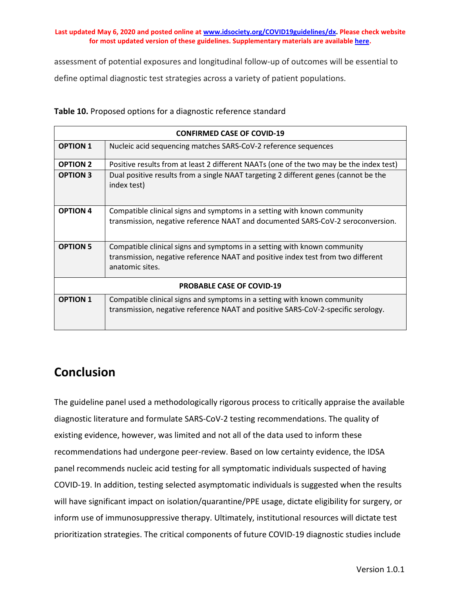assessment of potential exposures and longitudinal follow-up of outcomes will be essential to define optimal diagnostic test strategies across a variety of patient populations.

|                 | <b>CONFIRMED CASE OF COVID-19</b>                                                                  |
|-----------------|----------------------------------------------------------------------------------------------------|
| <b>OPTION 1</b> | Nucleic acid sequencing matches SARS-CoV-2 reference sequences                                     |
| <b>OPTION 2</b> | Positive results from at least 2 different NAATs (one of the two may be the index test)            |
| <b>OPTION 3</b> | Dual positive results from a single NAAT targeting 2 different genes (cannot be the<br>index test) |
| <b>OPTION 4</b> | Compatible clinical signs and symptoms in a setting with known community                           |
|                 | transmission, negative reference NAAT and documented SARS-CoV-2 seroconversion.                    |
| <b>OPTION 5</b> | Compatible clinical signs and symptoms in a setting with known community                           |
|                 | transmission, negative reference NAAT and positive index test from two different                   |
|                 | anatomic sites.                                                                                    |
|                 | <b>PROBABLE CASE OF COVID-19</b>                                                                   |
| <b>OPTION 1</b> | Compatible clinical signs and symptoms in a setting with known community                           |
|                 | transmission, negative reference NAAT and positive SARS-CoV-2-specific serology.                   |
|                 |                                                                                                    |

<span id="page-62-0"></span>**Table 10.** Proposed options for a diagnostic reference standard

## **Conclusion**

The guideline panel used a methodologically rigorous process to critically appraise the available diagnostic literature and formulate SARS-CoV-2 testing recommendations. The quality of existing evidence, however, was limited and not all of the data used to inform these recommendations had undergone peer-review. Based on low certainty evidence, the IDSA panel recommends nucleic acid testing for all symptomatic individuals suspected of having COVID-19. In addition, testing selected asymptomatic individuals is suggested when the results will have significant impact on isolation/quarantine/PPE usage, dictate eligibility for surgery, or inform use of immunosuppressive therapy. Ultimately, institutional resources will dictate test prioritization strategies. The critical components of future COVID-19 diagnostic studies include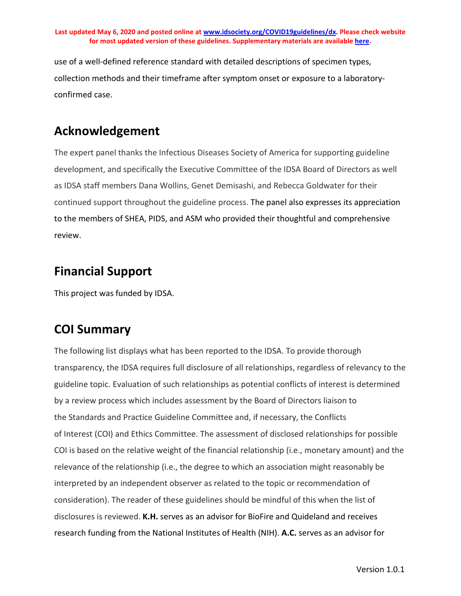use of a well-defined reference standard with detailed descriptions of specimen types, collection methods and their timeframe after symptom onset or exposure to a laboratoryconfirmed case.

# **Acknowledgement**

The expert panel thanks the Infectious Diseases Society of America for supporting guideline development, and specifically the Executive Committee of the IDSA Board of Directors as well as IDSA staff members Dana Wollins, Genet Demisashi, and Rebecca Goldwater for their continued support throughout the guideline process. The panel also expresses its appreciation to the members of SHEA, PIDS, and ASM who provided their thoughtful and comprehensive review.

# **Financial Support**

This project was funded by IDSA.

# **COI Summary**

The following list displays what has been reported to the IDSA. To provide thorough transparency, the IDSA requires full disclosure of all relationships, regardless of relevancy to the guideline topic. Evaluation of such relationships as potential conflicts of interest is determined by a review process which includes assessment by the Board of Directors liaison to the Standards and Practice Guideline Committee and, if necessary, the Conflicts of Interest (COI) and Ethics Committee. The assessment of disclosed relationships for possible COI is based on the relative weight of the financial relationship (i.e., monetary amount) and the relevance of the relationship (i.e., the degree to which an association might reasonably be interpreted by an independent observer as related to the topic or recommendation of consideration). The reader of these guidelines should be mindful of this when the list of disclosures is reviewed. **K.H.** serves as an advisor for BioFire and Quideland and receives research funding from the National Institutes of Health (NIH). **A.C.** serves as an advisor for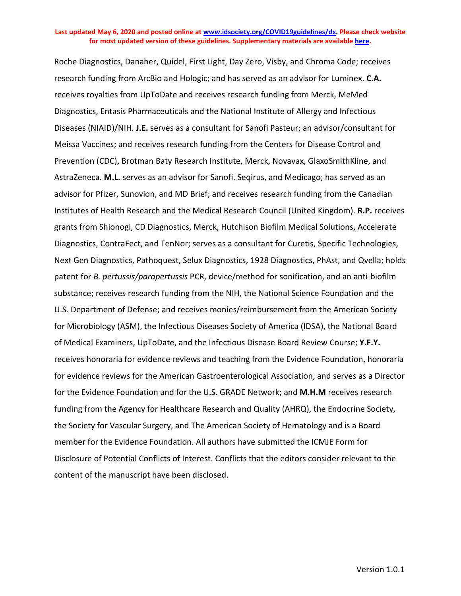Roche Diagnostics, Danaher, Quidel, First Light, Day Zero, Visby, and Chroma Code; receives research funding from ArcBio and Hologic; and has served as an advisor for Luminex. **C.A.** receives royalties from UpToDate and receives research funding from Merck, MeMed Diagnostics, Entasis Pharmaceuticals and the National Institute of Allergy and Infectious Diseases (NIAID)/NIH. **J.E.** serves as a consultant for Sanofi Pasteur; an advisor/consultant for Meissa Vaccines; and receives research funding from the Centers for Disease Control and Prevention (CDC), Brotman Baty Research Institute, Merck, Novavax, GlaxoSmithKline, and AstraZeneca. **M.L.** serves as an advisor for Sanofi, Seqirus, and Medicago; has served as an advisor for Pfizer, Sunovion, and MD Brief; and receives research funding from the Canadian Institutes of Health Research and the Medical Research Council (United Kingdom). **R.P.** receives grants from Shionogi, CD Diagnostics, Merck, Hutchison Biofilm Medical Solutions, Accelerate Diagnostics, ContraFect, and TenNor; serves as a consultant for Curetis, Specific Technologies, Next Gen Diagnostics, Pathoquest, Selux Diagnostics, 1928 Diagnostics, PhAst, and Qvella; holds patent for *B. pertussis/parapertussis* PCR, device/method for sonification, and an anti-biofilm substance; receives research funding from the NIH, the National Science Foundation and the U.S. Department of Defense; and receives monies/reimbursement from the American Society for Microbiology (ASM), the Infectious Diseases Society of America (IDSA), the National Board of Medical Examiners, UpToDate, and the Infectious Disease Board Review Course; **Y.F.Y.**  receives honoraria for evidence reviews and teaching from the Evidence Foundation, honoraria for evidence reviews for the American Gastroenterological Association, and serves as a Director for the Evidence Foundation and for the U.S. GRADE Network; and **M.H.M** receives research funding from the Agency for Healthcare Research and Quality (AHRQ), the Endocrine Society, the Society for Vascular Surgery, and The American Society of Hematology and is a Board member for the Evidence Foundation. All authors have submitted the ICMJE Form for Disclosure of Potential Conflicts of Interest. Conflicts that the editors consider relevant to the content of the manuscript have been disclosed.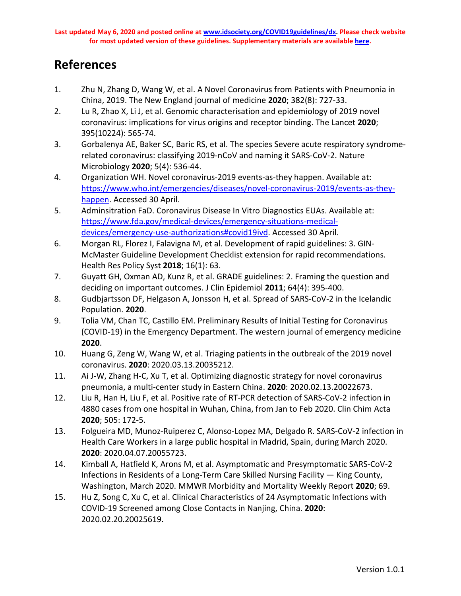## **References**

- 1. Zhu N, Zhang D, Wang W, et al. A Novel Coronavirus from Patients with Pneumonia in China, 2019. The New England journal of medicine **2020**; 382(8): 727-33.
- 2. Lu R, Zhao X, Li J, et al. Genomic characterisation and epidemiology of 2019 novel coronavirus: implications for virus origins and receptor binding. The Lancet **2020**; 395(10224): 565-74.
- 3. Gorbalenya AE, Baker SC, Baric RS, et al. The species Severe acute respiratory syndromerelated coronavirus: classifying 2019-nCoV and naming it SARS-CoV-2. Nature Microbiology **2020**; 5(4): 536-44.
- 4. Organization WH. Novel coronavirus-2019 events-as-they happen. Available at: [https://www.who.int/emergencies/diseases/novel-coronavirus-2019/events-as-they](https://www.who.int/emergencies/diseases/novel-coronavirus-2019/events-as-they-happen)[happen.](https://www.who.int/emergencies/diseases/novel-coronavirus-2019/events-as-they-happen) Accessed 30 April.
- 5. Adminsitration FaD. Coronavirus Disease In Vitro Diagnostics EUAs. Available at: [https://www.fda.gov/medical-devices/emergency-situations-medical](https://www.fda.gov/medical-devices/emergency-situations-medical-devices/emergency-use-authorizations#covid19ivd)[devices/emergency-use-authorizations#covid19ivd.](https://www.fda.gov/medical-devices/emergency-situations-medical-devices/emergency-use-authorizations#covid19ivd) Accessed 30 April.
- 6. Morgan RL, Florez I, Falavigna M, et al. Development of rapid guidelines: 3. GIN-McMaster Guideline Development Checklist extension for rapid recommendations. Health Res Policy Syst **2018**; 16(1): 63.
- 7. Guyatt GH, Oxman AD, Kunz R, et al. GRADE guidelines: 2. Framing the question and deciding on important outcomes. J Clin Epidemiol **2011**; 64(4): 395-400.
- 8. Gudbjartsson DF, Helgason A, Jonsson H, et al. Spread of SARS-CoV-2 in the Icelandic Population. **2020**.
- 9. Tolia VM, Chan TC, Castillo EM. Preliminary Results of Initial Testing for Coronavirus (COVID-19) in the Emergency Department. The western journal of emergency medicine **2020**.
- 10. Huang G, Zeng W, Wang W, et al. Triaging patients in the outbreak of the 2019 novel coronavirus. **2020**: 2020.03.13.20035212.
- 11. Ai J-W, Zhang H-C, Xu T, et al. Optimizing diagnostic strategy for novel coronavirus pneumonia, a multi-center study in Eastern China. **2020**: 2020.02.13.20022673.
- 12. Liu R, Han H, Liu F, et al. Positive rate of RT-PCR detection of SARS-CoV-2 infection in 4880 cases from one hospital in Wuhan, China, from Jan to Feb 2020. Clin Chim Acta **2020**; 505: 172-5.
- 13. Folgueira MD, Munoz-Ruiperez C, Alonso-Lopez MA, Delgado R. SARS-CoV-2 infection in Health Care Workers in a large public hospital in Madrid, Spain, during March 2020. **2020**: 2020.04.07.20055723.
- 14. Kimball A, Hatfield K, Arons M, et al. Asymptomatic and Presymptomatic SARS-CoV-2 Infections in Residents of a Long-Term Care Skilled Nursing Facility — King County, Washington, March 2020. MMWR Morbidity and Mortality Weekly Report **2020**; 69.
- 15. Hu Z, Song C, Xu C, et al. Clinical Characteristics of 24 Asymptomatic Infections with COVID-19 Screened among Close Contacts in Nanjing, China. **2020**: 2020.02.20.20025619.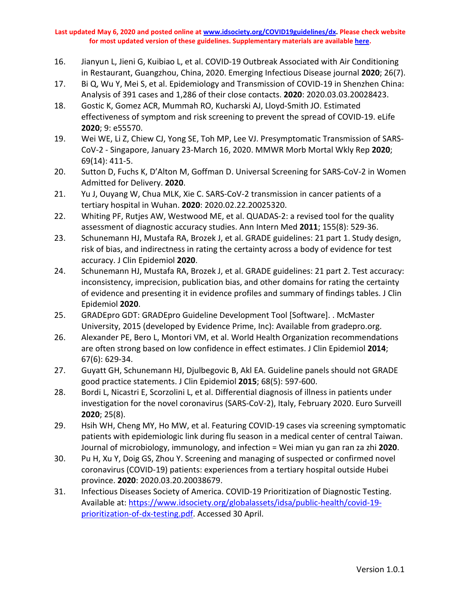- 16. Jianyun L, Jieni G, Kuibiao L, et al. COVID-19 Outbreak Associated with Air Conditioning in Restaurant, Guangzhou, China, 2020. Emerging Infectious Disease journal **2020**; 26(7).
- 17. Bi Q, Wu Y, Mei S, et al. Epidemiology and Transmission of COVID-19 in Shenzhen China: Analysis of 391 cases and 1,286 of their close contacts. **2020**: 2020.03.03.20028423.
- 18. Gostic K, Gomez ACR, Mummah RO, Kucharski AJ, Lloyd-Smith JO. Estimated effectiveness of symptom and risk screening to prevent the spread of COVID-19. eLife **2020**; 9: e55570.
- 19. Wei WE, Li Z, Chiew CJ, Yong SE, Toh MP, Lee VJ. Presymptomatic Transmission of SARS-CoV-2 - Singapore, January 23-March 16, 2020. MMWR Morb Mortal Wkly Rep **2020**; 69(14): 411-5.
- 20. Sutton D, Fuchs K, D'Alton M, Goffman D. Universal Screening for SARS-CoV-2 in Women Admitted for Delivery. **2020**.
- 21. Yu J, Ouyang W, Chua MLK, Xie C. SARS-CoV-2 transmission in cancer patients of a tertiary hospital in Wuhan. **2020**: 2020.02.22.20025320.
- 22. Whiting PF, Rutjes AW, Westwood ME, et al. QUADAS-2: a revised tool for the quality assessment of diagnostic accuracy studies. Ann Intern Med **2011**; 155(8): 529-36.
- 23. Schunemann HJ, Mustafa RA, Brozek J, et al. GRADE guidelines: 21 part 1. Study design, risk of bias, and indirectness in rating the certainty across a body of evidence for test accuracy. J Clin Epidemiol **2020**.
- 24. Schunemann HJ, Mustafa RA, Brozek J, et al. GRADE guidelines: 21 part 2. Test accuracy: inconsistency, imprecision, publication bias, and other domains for rating the certainty of evidence and presenting it in evidence profiles and summary of findings tables. J Clin Epidemiol **2020**.
- 25. GRADEpro GDT: GRADEpro Guideline Development Tool [Software]. . McMaster University, 2015 (developed by Evidence Prime, Inc): Available from gradepro.org.
- 26. Alexander PE, Bero L, Montori VM, et al. World Health Organization recommendations are often strong based on low confidence in effect estimates. J Clin Epidemiol **2014**; 67(6): 629-34.
- 27. Guyatt GH, Schunemann HJ, Djulbegovic B, Akl EA. Guideline panels should not GRADE good practice statements. J Clin Epidemiol **2015**; 68(5): 597-600.
- 28. Bordi L, Nicastri E, Scorzolini L, et al. Differential diagnosis of illness in patients under investigation for the novel coronavirus (SARS-CoV-2), Italy, February 2020. Euro Surveill **2020**; 25(8).
- 29. Hsih WH, Cheng MY, Ho MW, et al. Featuring COVID-19 cases via screening symptomatic patients with epidemiologic link during flu season in a medical center of central Taiwan. Journal of microbiology, immunology, and infection = Wei mian yu gan ran za zhi **2020**.
- 30. Pu H, Xu Y, Doig GS, Zhou Y. Screening and managing of suspected or confirmed novel coronavirus (COVID-19) patients: experiences from a tertiary hospital outside Hubei province. **2020**: 2020.03.20.20038679.
- 31. Infectious Diseases Society of America. COVID-19 Prioritization of Diagnostic Testing. Available at: [https://www.idsociety.org/globalassets/idsa/public-health/covid-19](https://www.idsociety.org/globalassets/idsa/public-health/covid-19-prioritization-of-dx-testing.pdf) [prioritization-of-dx-testing.pdf.](https://www.idsociety.org/globalassets/idsa/public-health/covid-19-prioritization-of-dx-testing.pdf) Accessed 30 April.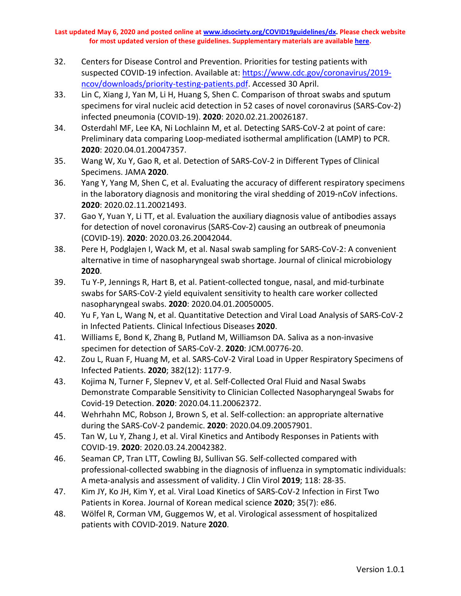- 32. Centers for Disease Control and Prevention. Priorities for testing patients with suspected COVID-19 infection. Available at: [https://www.cdc.gov/coronavirus/2019](https://www.cdc.gov/coronavirus/2019-ncov/downloads/priority-testing-patients.pdf) [ncov/downloads/priority-testing-patients.pdf.](https://www.cdc.gov/coronavirus/2019-ncov/downloads/priority-testing-patients.pdf) Accessed 30 April.
- 33. Lin C, Xiang J, Yan M, Li H, Huang S, Shen C. Comparison of throat swabs and sputum specimens for viral nucleic acid detection in 52 cases of novel coronavirus (SARS-Cov-2) infected pneumonia (COVID-19). **2020**: 2020.02.21.20026187.
- 34. Osterdahl MF, Lee KA, Ni Lochlainn M, et al. Detecting SARS-CoV-2 at point of care: Preliminary data comparing Loop-mediated isothermal amplification (LAMP) to PCR. **2020**: 2020.04.01.20047357.
- 35. Wang W, Xu Y, Gao R, et al. Detection of SARS-CoV-2 in Different Types of Clinical Specimens. JAMA **2020**.
- 36. Yang Y, Yang M, Shen C, et al. Evaluating the accuracy of different respiratory specimens in the laboratory diagnosis and monitoring the viral shedding of 2019-nCoV infections. **2020**: 2020.02.11.20021493.
- 37. Gao Y, Yuan Y, Li TT, et al. Evaluation the auxiliary diagnosis value of antibodies assays for detection of novel coronavirus (SARS-Cov-2) causing an outbreak of pneumonia (COVID-19). **2020**: 2020.03.26.20042044.
- 38. Pere H, Podglajen I, Wack M, et al. Nasal swab sampling for SARS-CoV-2: A convenient alternative in time of nasopharyngeal swab shortage. Journal of clinical microbiology **2020**.
- 39. Tu Y-P, Jennings R, Hart B, et al. Patient-collected tongue, nasal, and mid-turbinate swabs for SARS-CoV-2 yield equivalent sensitivity to health care worker collected nasopharyngeal swabs. **2020**: 2020.04.01.20050005.
- 40. Yu F, Yan L, Wang N, et al. Quantitative Detection and Viral Load Analysis of SARS-CoV-2 in Infected Patients. Clinical Infectious Diseases **2020**.
- 41. Williams E, Bond K, Zhang B, Putland M, Williamson DA. Saliva as a non-invasive specimen for detection of SARS-CoV-2. **2020**: JCM.00776-20.
- 42. Zou L, Ruan F, Huang M, et al. SARS-CoV-2 Viral Load in Upper Respiratory Specimens of Infected Patients. **2020**; 382(12): 1177-9.
- 43. Kojima N, Turner F, Slepnev V, et al. Self-Collected Oral Fluid and Nasal Swabs Demonstrate Comparable Sensitivity to Clinician Collected Nasopharyngeal Swabs for Covid-19 Detection. **2020**: 2020.04.11.20062372.
- 44. Wehrhahn MC, Robson J, Brown S, et al. Self-collection: an appropriate alternative during the SARS-CoV-2 pandemic. **2020**: 2020.04.09.20057901.
- 45. Tan W, Lu Y, Zhang J, et al. Viral Kinetics and Antibody Responses in Patients with COVID-19. **2020**: 2020.03.24.20042382.
- 46. Seaman CP, Tran LTT, Cowling BJ, Sullivan SG. Self-collected compared with professional-collected swabbing in the diagnosis of influenza in symptomatic individuals: A meta-analysis and assessment of validity. J Clin Virol **2019**; 118: 28-35.
- 47. Kim JY, Ko JH, Kim Y, et al. Viral Load Kinetics of SARS-CoV-2 Infection in First Two Patients in Korea. Journal of Korean medical science **2020**; 35(7): e86.
- 48. Wölfel R, Corman VM, Guggemos W, et al. Virological assessment of hospitalized patients with COVID-2019. Nature **2020**.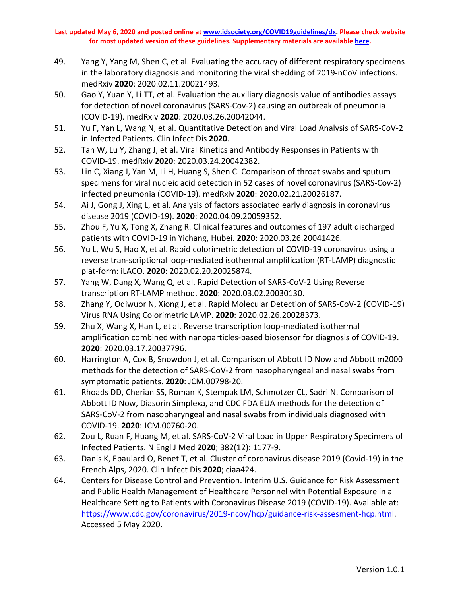- 49. Yang Y, Yang M, Shen C, et al. Evaluating the accuracy of different respiratory specimens in the laboratory diagnosis and monitoring the viral shedding of 2019-nCoV infections. medRxiv **2020**: 2020.02.11.20021493.
- 50. Gao Y, Yuan Y, Li TT, et al. Evaluation the auxiliary diagnosis value of antibodies assays for detection of novel coronavirus (SARS-Cov-2) causing an outbreak of pneumonia (COVID-19). medRxiv **2020**: 2020.03.26.20042044.
- 51. Yu F, Yan L, Wang N, et al. Quantitative Detection and Viral Load Analysis of SARS-CoV-2 in Infected Patients. Clin Infect Dis **2020**.
- 52. Tan W, Lu Y, Zhang J, et al. Viral Kinetics and Antibody Responses in Patients with COVID-19. medRxiv **2020**: 2020.03.24.20042382.
- 53. Lin C, Xiang J, Yan M, Li H, Huang S, Shen C. Comparison of throat swabs and sputum specimens for viral nucleic acid detection in 52 cases of novel coronavirus (SARS-Cov-2) infected pneumonia (COVID-19). medRxiv **2020**: 2020.02.21.20026187.
- 54. Ai J, Gong J, Xing L, et al. Analysis of factors associated early diagnosis in coronavirus disease 2019 (COVID-19). **2020**: 2020.04.09.20059352.
- 55. Zhou F, Yu X, Tong X, Zhang R. Clinical features and outcomes of 197 adult discharged patients with COVID-19 in Yichang, Hubei. **2020**: 2020.03.26.20041426.
- 56. Yu L, Wu S, Hao X, et al. Rapid colorimetric detection of COVID-19 coronavirus using a reverse tran-scriptional loop-mediated isothermal amplification (RT-LAMP) diagnostic plat-form: iLACO. **2020**: 2020.02.20.20025874.
- 57. Yang W, Dang X, Wang Q, et al. Rapid Detection of SARS-CoV-2 Using Reverse transcription RT-LAMP method. **2020**: 2020.03.02.20030130.
- 58. Zhang Y, Odiwuor N, Xiong J, et al. Rapid Molecular Detection of SARS-CoV-2 (COVID-19) Virus RNA Using Colorimetric LAMP. **2020**: 2020.02.26.20028373.
- 59. Zhu X, Wang X, Han L, et al. Reverse transcription loop-mediated isothermal amplification combined with nanoparticles-based biosensor for diagnosis of COVID-19. **2020**: 2020.03.17.20037796.
- 60. Harrington A, Cox B, Snowdon J, et al. Comparison of Abbott ID Now and Abbott m2000 methods for the detection of SARS-CoV-2 from nasopharyngeal and nasal swabs from symptomatic patients. **2020**: JCM.00798-20.
- 61. Rhoads DD, Cherian SS, Roman K, Stempak LM, Schmotzer CL, Sadri N. Comparison of Abbott ID Now, Diasorin Simplexa, and CDC FDA EUA methods for the detection of SARS-CoV-2 from nasopharyngeal and nasal swabs from individuals diagnosed with COVID-19. **2020**: JCM.00760-20.
- 62. Zou L, Ruan F, Huang M, et al. SARS-CoV-2 Viral Load in Upper Respiratory Specimens of Infected Patients. N Engl J Med **2020**; 382(12): 1177-9.
- 63. Danis K, Epaulard O, Benet T, et al. Cluster of coronavirus disease 2019 (Covid-19) in the French Alps, 2020. Clin Infect Dis **2020**; ciaa424.
- 64. Centers for Disease Control and Prevention. Interim U.S. Guidance for Risk Assessment and Public Health Management of Healthcare Personnel with Potential Exposure in a Healthcare Setting to Patients with Coronavirus Disease 2019 (COVID-19). Available at: [https://www.cdc.gov/coronavirus/2019-ncov/hcp/guidance-risk-assesment-hcp.html.](https://www.cdc.gov/coronavirus/2019-ncov/hcp/guidance-risk-assesment-hcp.html) Accessed 5 May 2020.